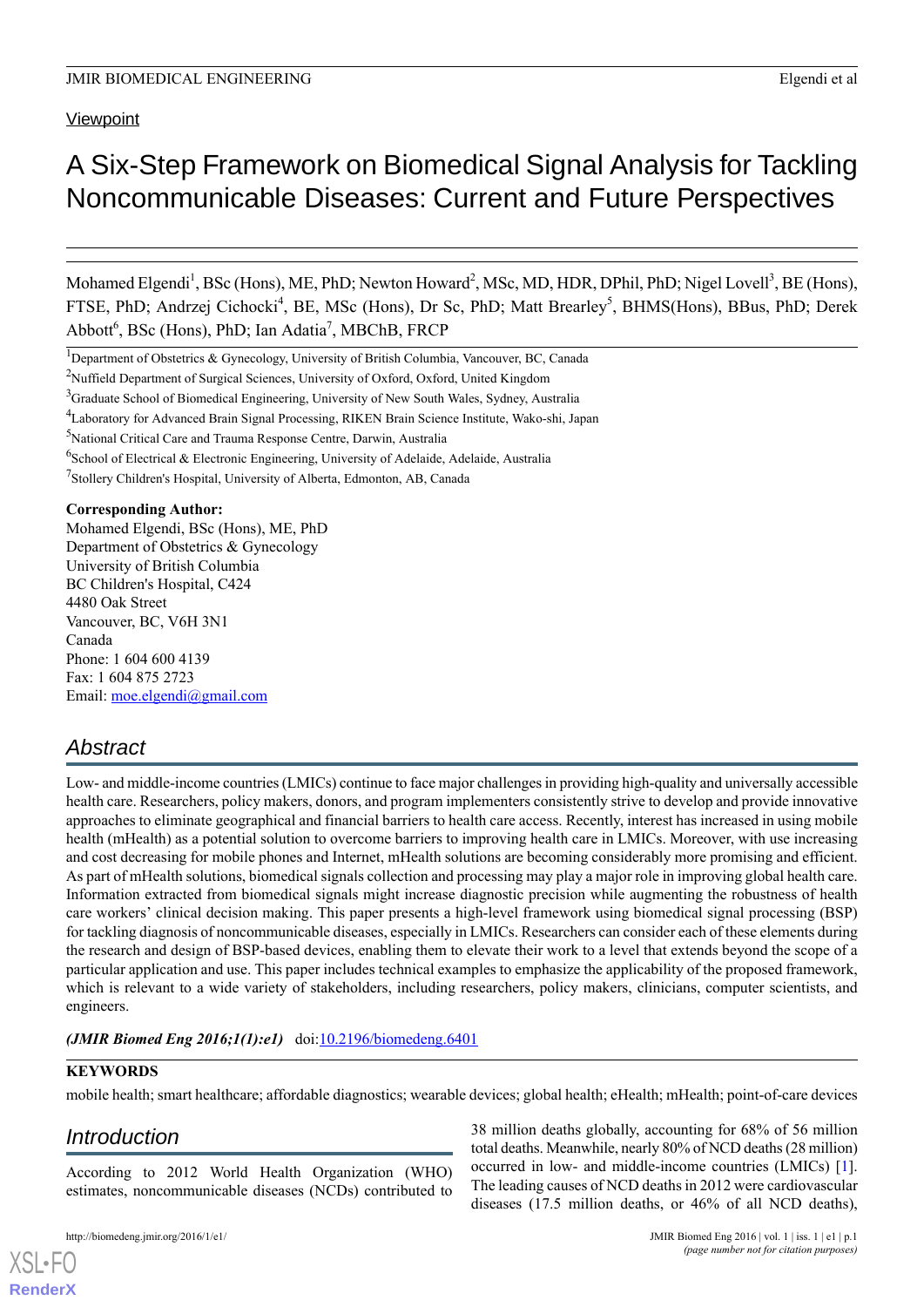**Viewpoint** 

# A Six-Step Framework on Biomedical Signal Analysis for Tackling Noncommunicable Diseases: Current and Future Perspectives

Mohamed Elgendi<sup>1</sup>, BSc (Hons), ME, PhD; Newton Howard<sup>2</sup>, MSc, MD, HDR, DPhil, PhD; Nigel Lovell<sup>3</sup>, BE (Hons), FTSE, PhD; Andrzej Cichocki<sup>4</sup>, BE, MSc (Hons), Dr Sc, PhD; Matt Brearley<sup>5</sup>, BHMS(Hons), BBus, PhD; Derek Abbott<sup>6</sup>, BSc (Hons), PhD; Ian Adatia<sup>7</sup>, MBChB, FRCP

<sup>1</sup>Department of Obstetrics & Gynecology, University of British Columbia, Vancouver, BC, Canada

<sup>4</sup>Laboratory for Advanced Brain Signal Processing, RIKEN Brain Science Institute, Wako-shi, Japan

# **Corresponding Author:**

Mohamed Elgendi, BSc (Hons), ME, PhD Department of Obstetrics & Gynecology University of British Columbia BC Children's Hospital, C424 4480 Oak Street Vancouver, BC, V6H 3N1 Canada Phone: 1 604 600 4139 Fax: 1 604 875 2723 Email: [moe.elgendi@gmail.com](mailto:moe.elgendi@gmail.com)

# *Abstract*

Low- and middle-income countries (LMICs) continue to face major challenges in providing high-quality and universally accessible health care. Researchers, policy makers, donors, and program implementers consistently strive to develop and provide innovative approaches to eliminate geographical and financial barriers to health care access. Recently, interest has increased in using mobile health (mHealth) as a potential solution to overcome barriers to improving health care in LMICs. Moreover, with use increasing and cost decreasing for mobile phones and Internet, mHealth solutions are becoming considerably more promising and efficient. As part of mHealth solutions, biomedical signals collection and processing may play a major role in improving global health care. Information extracted from biomedical signals might increase diagnostic precision while augmenting the robustness of health care workers' clinical decision making. This paper presents a high-level framework using biomedical signal processing (BSP) for tackling diagnosis of noncommunicable diseases, especially in LMICs. Researchers can consider each of these elements during the research and design of BSP-based devices, enabling them to elevate their work to a level that extends beyond the scope of a particular application and use. This paper includes technical examples to emphasize the applicability of the proposed framework, which is relevant to a wide variety of stakeholders, including researchers, policy makers, clinicians, computer scientists, and engineers.

*(JMIR Biomed Eng 2016;1(1):e1)* doi:[10.2196/biomedeng.6401](http://dx.doi.org/10.2196/biomedeng.6401)

# **KEYWORDS**

mobile health; smart healthcare; affordable diagnostics; wearable devices; global health; eHealth; mHealth; point-of-care devices

# *Introduction*

According to 2012 World Health Organization (WHO) estimates, noncommunicable diseases (NCDs) contributed to

http://biomedeng.jmir.org/2016/1/e1/ JMIR Biomed Eng 2016 | vol. 1 | iss. 1 | e1 | p.1

*(page number not for citation purposes)*

38 million deaths globally, accounting for 68% of 56 million



<sup>&</sup>lt;sup>2</sup>Nuffield Department of Surgical Sciences, University of Oxford, Oxford, United Kingdom

<sup>&</sup>lt;sup>3</sup>Graduate School of Biomedical Engineering, University of New South Wales, Sydney, Australia

<sup>5</sup>National Critical Care and Trauma Response Centre, Darwin, Australia

<sup>&</sup>lt;sup>6</sup>School of Electrical & Electronic Engineering, University of Adelaide, Adelaide, Australia

<sup>&</sup>lt;sup>7</sup>Stollery Children's Hospital, University of Alberta, Edmonton, AB, Canada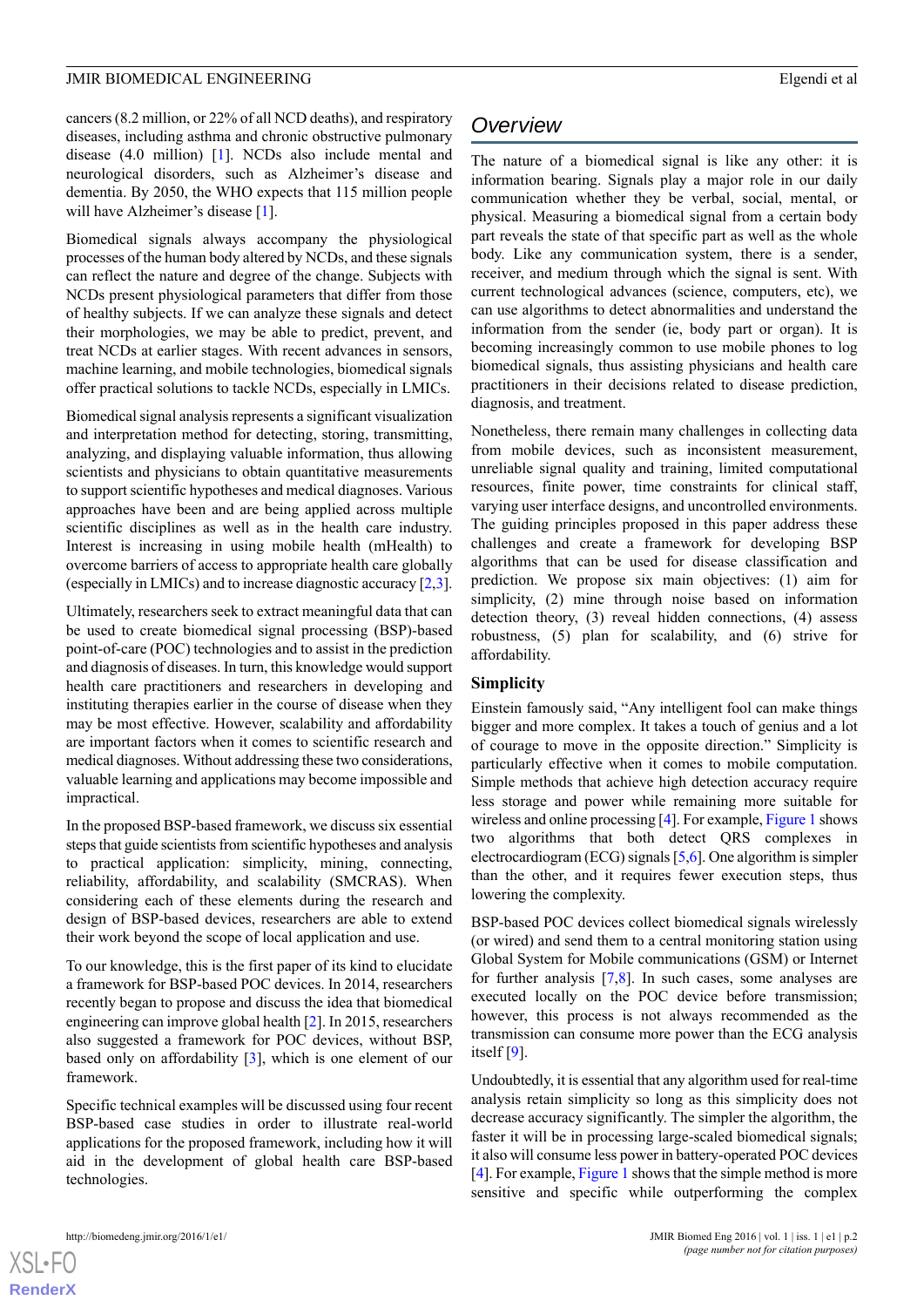cancers (8.2 million, or 22% of all NCD deaths), and respiratory diseases, including asthma and chronic obstructive pulmonary disease (4.0 million) [[1\]](#page-10-0). NCDs also include mental and neurological disorders, such as Alzheimer's disease and dementia. By 2050, the WHO expects that 115 million people will have Alzheimer's disease [\[1](#page-10-0)].

Biomedical signals always accompany the physiological processes of the human body altered by NCDs, and these signals can reflect the nature and degree of the change. Subjects with NCDs present physiological parameters that differ from those of healthy subjects. If we can analyze these signals and detect their morphologies, we may be able to predict, prevent, and treat NCDs at earlier stages. With recent advances in sensors, machine learning, and mobile technologies, biomedical signals offer practical solutions to tackle NCDs, especially in LMICs.

Biomedical signal analysis represents a significant visualization and interpretation method for detecting, storing, transmitting, analyzing, and displaying valuable information, thus allowing scientists and physicians to obtain quantitative measurements to support scientific hypotheses and medical diagnoses. Various approaches have been and are being applied across multiple scientific disciplines as well as in the health care industry. Interest is increasing in using mobile health (mHealth) to overcome barriers of access to appropriate health care globally (especially in LMICs) and to increase diagnostic accuracy [[2](#page-10-1)[,3\]](#page-10-2).

Ultimately, researchers seek to extract meaningful data that can be used to create biomedical signal processing (BSP)-based point-of-care (POC) technologies and to assist in the prediction and diagnosis of diseases. In turn, this knowledge would support health care practitioners and researchers in developing and instituting therapies earlier in the course of disease when they may be most effective. However, scalability and affordability are important factors when it comes to scientific research and medical diagnoses. Without addressing these two considerations, valuable learning and applications may become impossible and impractical.

In the proposed BSP-based framework, we discuss six essential steps that guide scientists from scientific hypotheses and analysis to practical application: simplicity, mining, connecting, reliability, affordability, and scalability (SMCRAS). When considering each of these elements during the research and design of BSP-based devices, researchers are able to extend their work beyond the scope of local application and use.

To our knowledge, this is the first paper of its kind to elucidate a framework for BSP-based POC devices. In 2014, researchers recently began to propose and discuss the idea that biomedical engineering can improve global health [\[2](#page-10-1)]. In 2015, researchers also suggested a framework for POC devices, without BSP, based only on affordability [\[3\]](#page-10-2), which is one element of our framework.

Specific technical examples will be discussed using four recent BSP-based case studies in order to illustrate real-world applications for the proposed framework, including how it will aid in the development of global health care BSP-based technologies.

# *Overview*

The nature of a biomedical signal is like any other: it is information bearing. Signals play a major role in our daily communication whether they be verbal, social, mental, or physical. Measuring a biomedical signal from a certain body part reveals the state of that specific part as well as the whole body. Like any communication system, there is a sender, receiver, and medium through which the signal is sent. With current technological advances (science, computers, etc), we can use algorithms to detect abnormalities and understand the information from the sender (ie, body part or organ). It is becoming increasingly common to use mobile phones to log biomedical signals, thus assisting physicians and health care practitioners in their decisions related to disease prediction, diagnosis, and treatment.

Nonetheless, there remain many challenges in collecting data from mobile devices, such as inconsistent measurement, unreliable signal quality and training, limited computational resources, finite power, time constraints for clinical staff, varying user interface designs, and uncontrolled environments. The guiding principles proposed in this paper address these challenges and create a framework for developing BSP algorithms that can be used for disease classification and prediction. We propose six main objectives: (1) aim for simplicity, (2) mine through noise based on information detection theory, (3) reveal hidden connections, (4) assess robustness, (5) plan for scalability, and (6) strive for affordability.

# **Simplicity**

Einstein famously said, "Any intelligent fool can make things bigger and more complex. It takes a touch of genius and a lot of courage to move in the opposite direction." Simplicity is particularly effective when it comes to mobile computation. Simple methods that achieve high detection accuracy require less storage and power while remaining more suitable for wireless and online processing [[4\]](#page-10-3). For example, [Figure 1](#page-2-0) shows two algorithms that both detect QRS complexes in electrocardiogram (ECG) signals [\[5](#page-10-4)[,6](#page-10-5)]. One algorithm is simpler than the other, and it requires fewer execution steps, thus lowering the complexity.

BSP-based POC devices collect biomedical signals wirelessly (or wired) and send them to a central monitoring station using Global System for Mobile communications (GSM) or Internet for further analysis [\[7](#page-10-6)[,8\]](#page-10-7). In such cases, some analyses are executed locally on the POC device before transmission; however, this process is not always recommended as the transmission can consume more power than the ECG analysis itself [\[9](#page-10-8)].

Undoubtedly, it is essential that any algorithm used for real-time analysis retain simplicity so long as this simplicity does not decrease accuracy significantly. The simpler the algorithm, the faster it will be in processing large-scaled biomedical signals; it also will consume less power in battery-operated POC devices [[4\]](#page-10-3). For example, [Figure 1](#page-2-0) shows that the simple method is more sensitive and specific while outperforming the complex

 $XS$  • FC **[RenderX](http://www.renderx.com/)**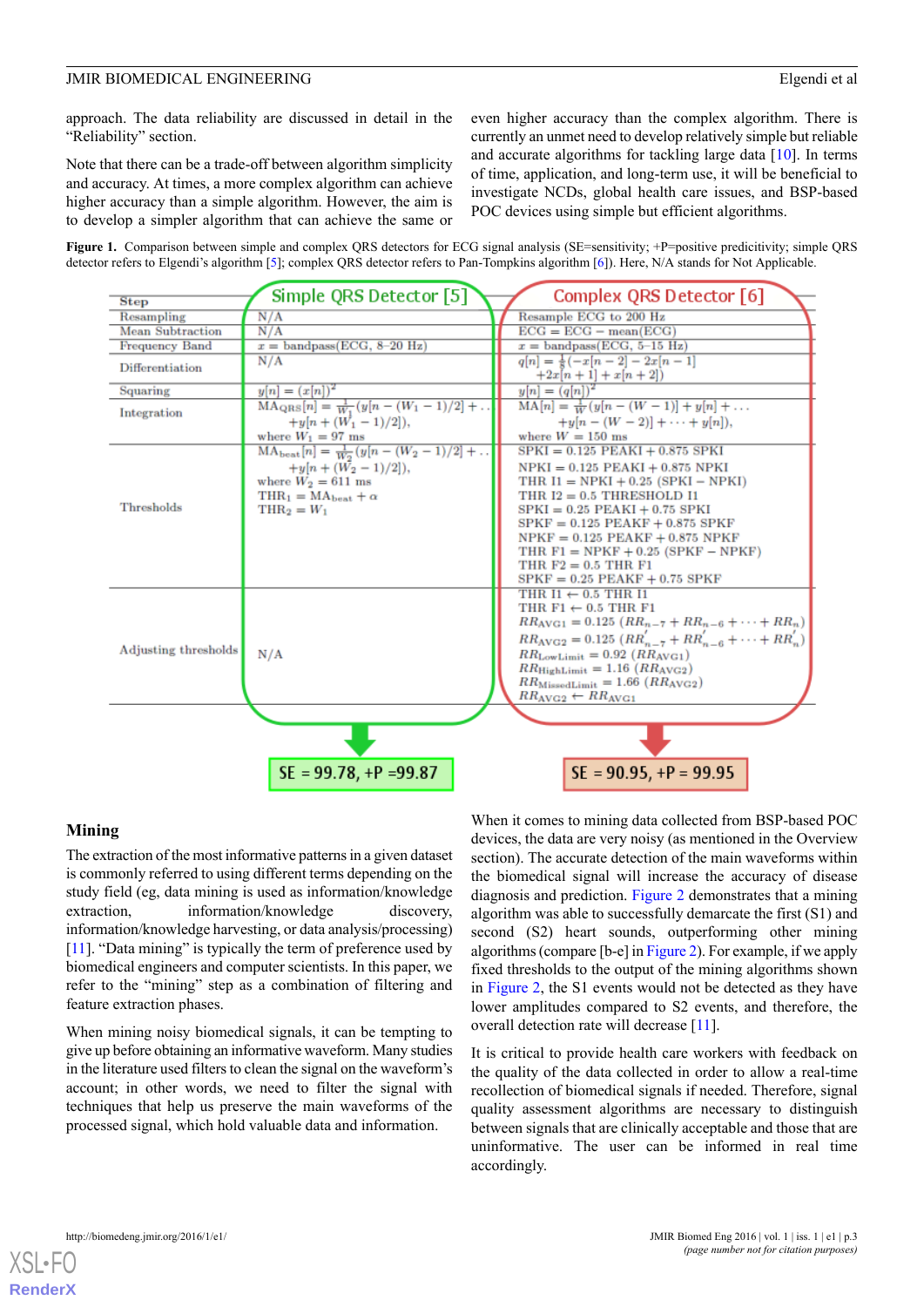approach. The data reliability are discussed in detail in the "Reliability" section.

Note that there can be a trade-off between algorithm simplicity and accuracy. At times, a more complex algorithm can achieve higher accuracy than a simple algorithm. However, the aim is to develop a simpler algorithm that can achieve the same or even higher accuracy than the complex algorithm. There is currently an unmet need to develop relatively simple but reliable and accurate algorithms for tackling large data [\[10](#page-10-9)]. In terms of time, application, and long-term use, it will be beneficial to investigate NCDs, global health care issues, and BSP-based POC devices using simple but efficient algorithms.

<span id="page-2-0"></span>



# **Mining**

The extraction of the most informative patterns in a given dataset is commonly referred to using different terms depending on the study field (eg, data mining is used as information/knowledge extraction, information/knowledge discovery, information/knowledge harvesting, or data analysis/processing) [[11\]](#page-10-10). "Data mining" is typically the term of preference used by biomedical engineers and computer scientists. In this paper, we refer to the "mining" step as a combination of filtering and feature extraction phases.

When mining noisy biomedical signals, it can be tempting to give up before obtaining an informative waveform. Many studies in the literature used filters to clean the signal on the waveform's account; in other words, we need to filter the signal with techniques that help us preserve the main waveforms of the processed signal, which hold valuable data and information.

When it comes to mining data collected from BSP-based POC devices, the data are very noisy (as mentioned in the Overview section). The accurate detection of the main waveforms within the biomedical signal will increase the accuracy of disease diagnosis and prediction. [Figure 2](#page-3-0) demonstrates that a mining algorithm was able to successfully demarcate the first (S1) and second (S2) heart sounds, outperforming other mining algorithms (compare [b-e] in [Figure 2](#page-3-0)). For example, if we apply fixed thresholds to the output of the mining algorithms shown in [Figure 2](#page-3-0), the S1 events would not be detected as they have lower amplitudes compared to S2 events, and therefore, the overall detection rate will decrease [[11](#page-10-10)].

It is critical to provide health care workers with feedback on the quality of the data collected in order to allow a real-time recollection of biomedical signals if needed. Therefore, signal quality assessment algorithms are necessary to distinguish between signals that are clinically acceptable and those that are uninformative. The user can be informed in real time accordingly.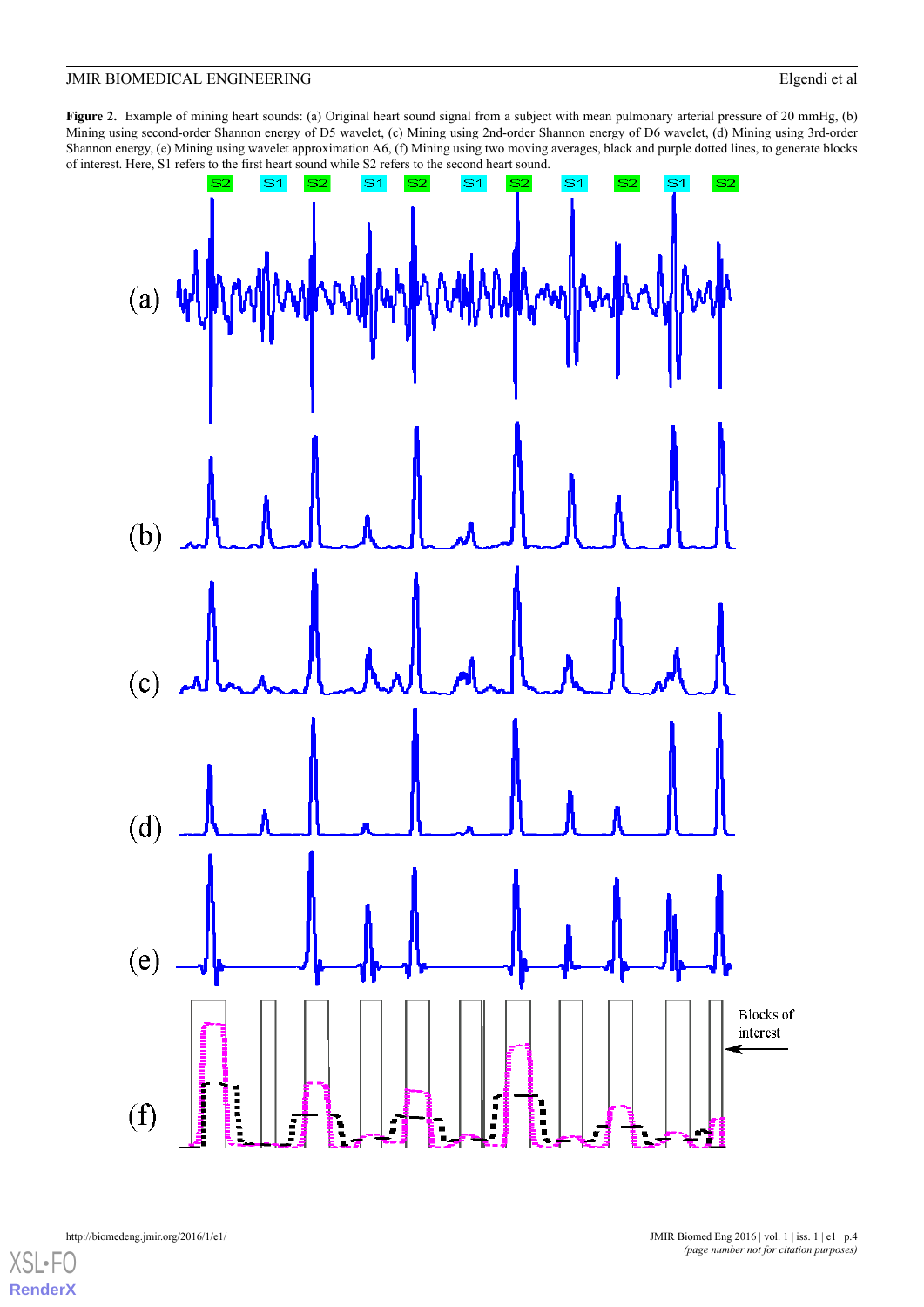<span id="page-3-0"></span>**Figure 2.** Example of mining heart sounds: (a) Original heart sound signal from a subject with mean pulmonary arterial pressure of 20 mmHg, (b) Mining using second-order Shannon energy of D5 wavelet, (c) Mining using 2nd-order Shannon energy of D6 wavelet, (d) Mining using 3rd-order Shannon energy, (e) Mining using wavelet approximation A6, (f) Mining using two moving averages, black and purple dotted lines, to generate blocks of interest. Here, S1 refers to the first heart sound while S2 refers to the second heart sound.

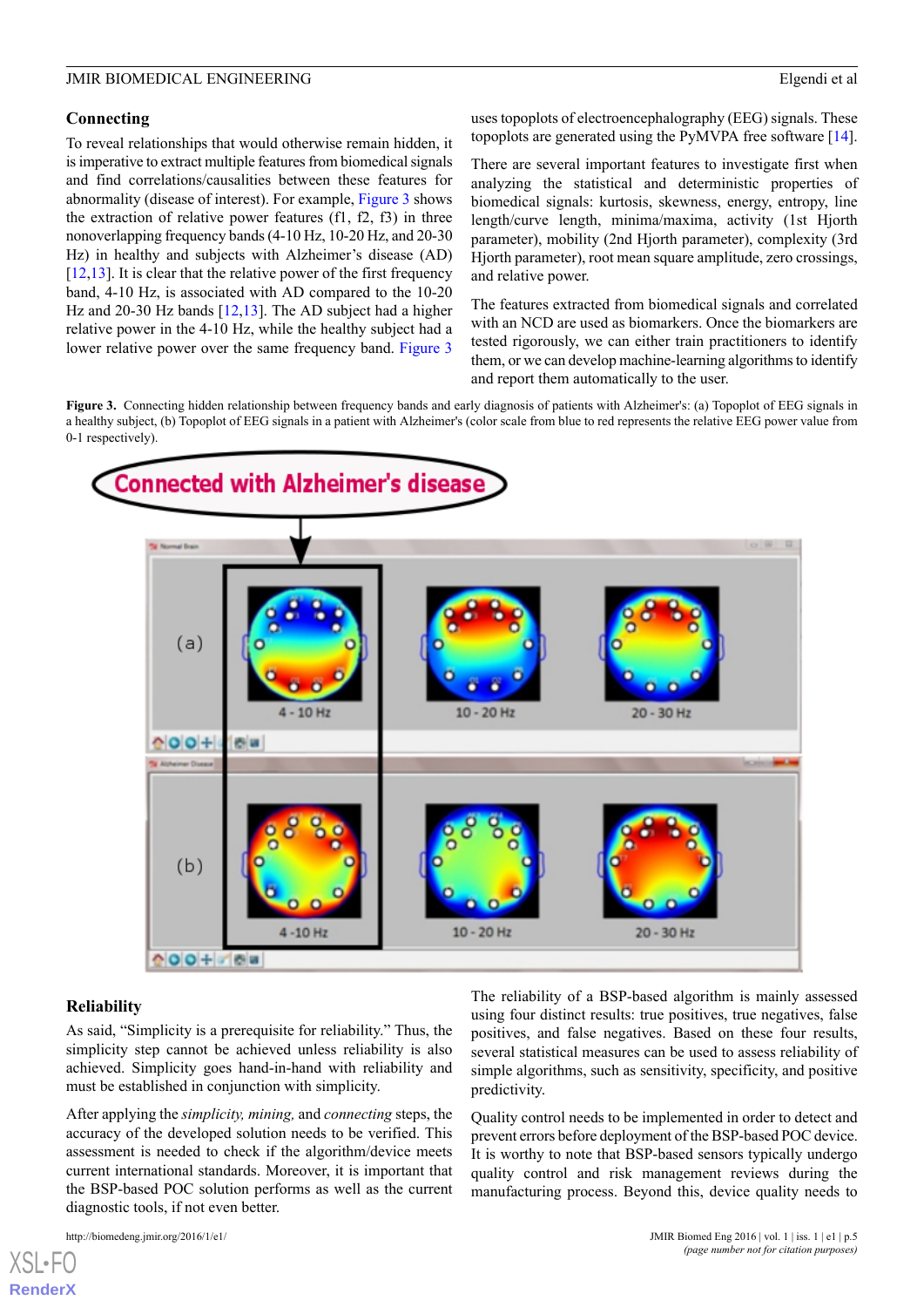# **Connecting**

To reveal relationships that would otherwise remain hidden, it is imperative to extract multiple features from biomedical signals and find correlations/causalities between these features for abnormality (disease of interest). For example, [Figure 3](#page-4-0) shows the extraction of relative power features (f1, f2, f3) in three nonoverlapping frequency bands (4-10 Hz, 10-20 Hz, and 20-30 Hz) in healthy and subjects with Alzheimer's disease (AD)  $[12,13]$  $[12,13]$  $[12,13]$  $[12,13]$ . It is clear that the relative power of the first frequency band, 4-10 Hz, is associated with AD compared to the 10-20 Hz and 20-30 Hz bands [\[12](#page-10-11),[13\]](#page-11-0). The AD subject had a higher relative power in the 4-10 Hz, while the healthy subject had a lower relative power over the same frequency band. [Figure 3](#page-4-0)

uses topoplots of electroencephalography (EEG) signals. These topoplots are generated using the PyMVPA free software [[14\]](#page-11-1).

There are several important features to investigate first when analyzing the statistical and deterministic properties of biomedical signals: kurtosis, skewness, energy, entropy, line length/curve length, minima/maxima, activity (1st Hjorth parameter), mobility (2nd Hjorth parameter), complexity (3rd Hjorth parameter), root mean square amplitude, zero crossings, and relative power.

The features extracted from biomedical signals and correlated with an NCD are used as biomarkers. Once the biomarkers are tested rigorously, we can either train practitioners to identify them, or we can develop machine-learning algorithms to identify and report them automatically to the user.

<span id="page-4-0"></span>**Figure 3.** Connecting hidden relationship between frequency bands and early diagnosis of patients with Alzheimer's: (a) Topoplot of EEG signals in a healthy subject, (b) Topoplot of EEG signals in a patient with Alzheimer's (color scale from blue to red represents the relative EEG power value from 0-1 respectively).



# **Reliability**

[XSL](http://www.w3.org/Style/XSL)•FO **[RenderX](http://www.renderx.com/)**

As said, "Simplicity is a prerequisite for reliability." Thus, the simplicity step cannot be achieved unless reliability is also achieved. Simplicity goes hand-in-hand with reliability and must be established in conjunction with simplicity.

After applying the *simplicity, mining,* and *connecting* steps, the accuracy of the developed solution needs to be verified. This assessment is needed to check if the algorithm/device meets current international standards. Moreover, it is important that the BSP-based POC solution performs as well as the current diagnostic tools, if not even better.

The reliability of a BSP-based algorithm is mainly assessed using four distinct results: true positives, true negatives, false positives, and false negatives. Based on these four results, several statistical measures can be used to assess reliability of simple algorithms, such as sensitivity, specificity, and positive predictivity.

Quality control needs to be implemented in order to detect and prevent errors before deployment of the BSP-based POC device. It is worthy to note that BSP-based sensors typically undergo quality control and risk management reviews during the manufacturing process. Beyond this, device quality needs to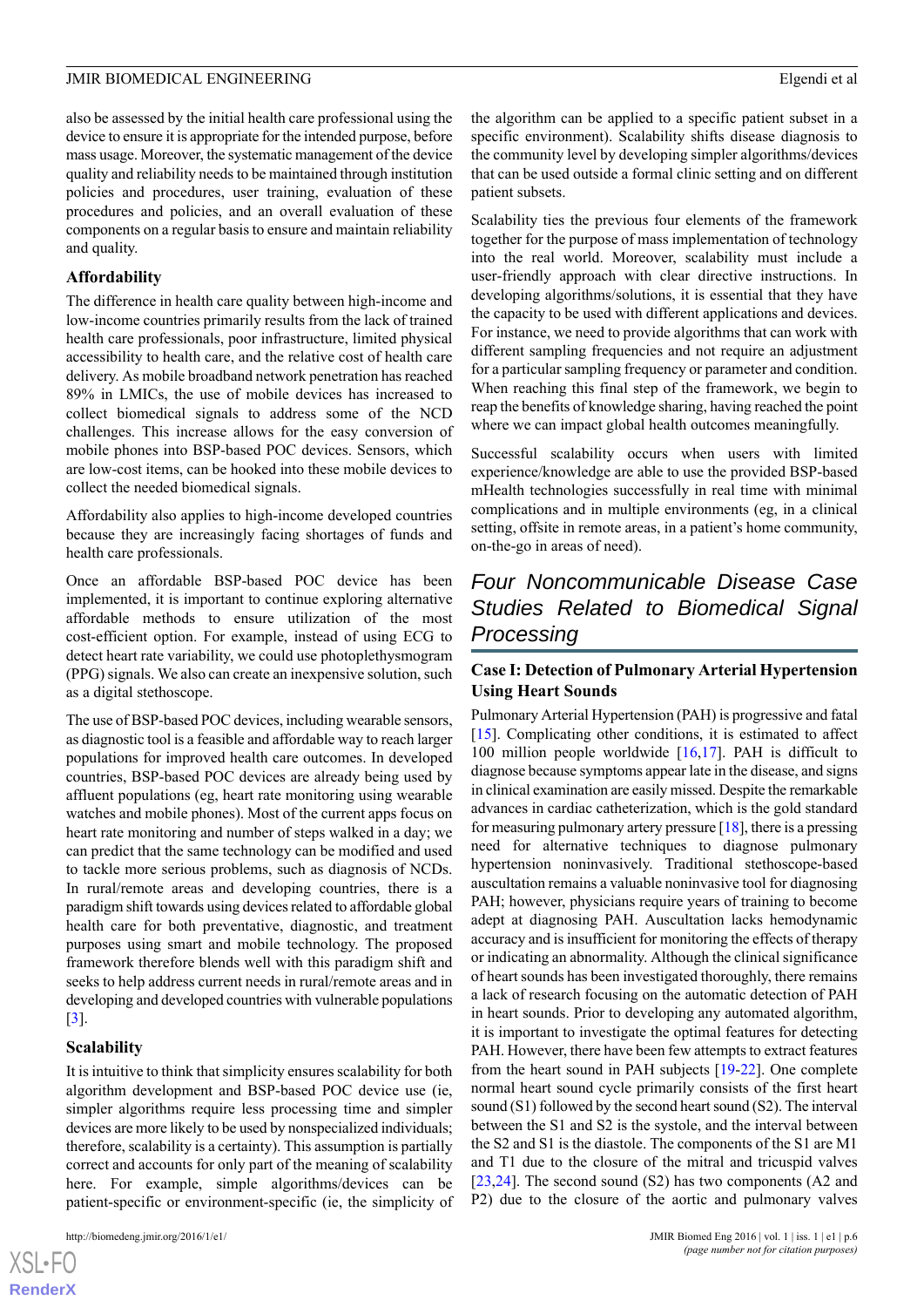also be assessed by the initial health care professional using the device to ensure it is appropriate for the intended purpose, before mass usage. Moreover, the systematic management of the device quality and reliability needs to be maintained through institution policies and procedures, user training, evaluation of these procedures and policies, and an overall evaluation of these components on a regular basis to ensure and maintain reliability and quality.

# **Affordability**

The difference in health care quality between high-income and low-income countries primarily results from the lack of trained health care professionals, poor infrastructure, limited physical accessibility to health care, and the relative cost of health care delivery. As mobile broadband network penetration has reached 89% in LMICs, the use of mobile devices has increased to collect biomedical signals to address some of the NCD challenges. This increase allows for the easy conversion of mobile phones into BSP-based POC devices. Sensors, which are low-cost items, can be hooked into these mobile devices to collect the needed biomedical signals.

Affordability also applies to high-income developed countries because they are increasingly facing shortages of funds and health care professionals.

Once an affordable BSP-based POC device has been implemented, it is important to continue exploring alternative affordable methods to ensure utilization of the most cost-efficient option. For example, instead of using ECG to detect heart rate variability, we could use photoplethysmogram (PPG) signals. We also can create an inexpensive solution, such as a digital stethoscope.

The use of BSP-based POC devices, including wearable sensors, as diagnostic tool is a feasible and affordable way to reach larger populations for improved health care outcomes. In developed countries, BSP-based POC devices are already being used by affluent populations (eg, heart rate monitoring using wearable watches and mobile phones). Most of the current apps focus on heart rate monitoring and number of steps walked in a day; we can predict that the same technology can be modified and used to tackle more serious problems, such as diagnosis of NCDs. In rural/remote areas and developing countries, there is a paradigm shift towards using devices related to affordable global health care for both preventative, diagnostic, and treatment purposes using smart and mobile technology. The proposed framework therefore blends well with this paradigm shift and seeks to help address current needs in rural/remote areas and in developing and developed countries with vulnerable populations [[3\]](#page-10-2).

# **Scalability**

[XSL](http://www.w3.org/Style/XSL)•FO **[RenderX](http://www.renderx.com/)**

It is intuitive to think that simplicity ensures scalability for both algorithm development and BSP-based POC device use (ie, simpler algorithms require less processing time and simpler devices are more likely to be used by nonspecialized individuals; therefore, scalability is a certainty). This assumption is partially correct and accounts for only part of the meaning of scalability here. For example, simple algorithms/devices can be patient-specific or environment-specific (ie, the simplicity of

the algorithm can be applied to a specific patient subset in a specific environment). Scalability shifts disease diagnosis to the community level by developing simpler algorithms/devices that can be used outside a formal clinic setting and on different patient subsets.

Scalability ties the previous four elements of the framework together for the purpose of mass implementation of technology into the real world. Moreover, scalability must include a user-friendly approach with clear directive instructions. In developing algorithms/solutions, it is essential that they have the capacity to be used with different applications and devices. For instance, we need to provide algorithms that can work with different sampling frequencies and not require an adjustment for a particular sampling frequency or parameter and condition. When reaching this final step of the framework, we begin to reap the benefits of knowledge sharing, having reached the point where we can impact global health outcomes meaningfully.

Successful scalability occurs when users with limited experience/knowledge are able to use the provided BSP-based mHealth technologies successfully in real time with minimal complications and in multiple environments (eg, in a clinical setting, offsite in remote areas, in a patient's home community, on-the-go in areas of need).

# *Four Noncommunicable Disease Case Studies Related to Biomedical Signal Processing*

# **Case I: Detection of Pulmonary Arterial Hypertension Using Heart Sounds**

Pulmonary Arterial Hypertension (PAH) is progressive and fatal [[15\]](#page-11-2). Complicating other conditions, it is estimated to affect 100 million people worldwide [[16,](#page-11-3)[17](#page-11-4)]. PAH is difficult to diagnose because symptoms appear late in the disease, and signs in clinical examination are easily missed. Despite the remarkable advances in cardiac catheterization, which is the gold standard for measuring pulmonary artery pressure  $[18]$  $[18]$  $[18]$ , there is a pressing need for alternative techniques to diagnose pulmonary hypertension noninvasively. Traditional stethoscope-based auscultation remains a valuable noninvasive tool for diagnosing PAH; however, physicians require years of training to become adept at diagnosing PAH. Auscultation lacks hemodynamic accuracy and is insufficient for monitoring the effects of therapy or indicating an abnormality. Although the clinical significance of heart sounds has been investigated thoroughly, there remains a lack of research focusing on the automatic detection of PAH in heart sounds. Prior to developing any automated algorithm, it is important to investigate the optimal features for detecting PAH. However, there have been few attempts to extract features from the heart sound in PAH subjects [[19](#page-11-6)[-22](#page-11-7)]. One complete normal heart sound cycle primarily consists of the first heart sound (S1) followed by the second heart sound (S2). The interval between the S1 and S2 is the systole, and the interval between the S2 and S1 is the diastole. The components of the S1 are M1 and T1 due to the closure of the mitral and tricuspid valves [[23,](#page-11-8)[24\]](#page-11-9). The second sound (S2) has two components (A2 and P2) due to the closure of the aortic and pulmonary valves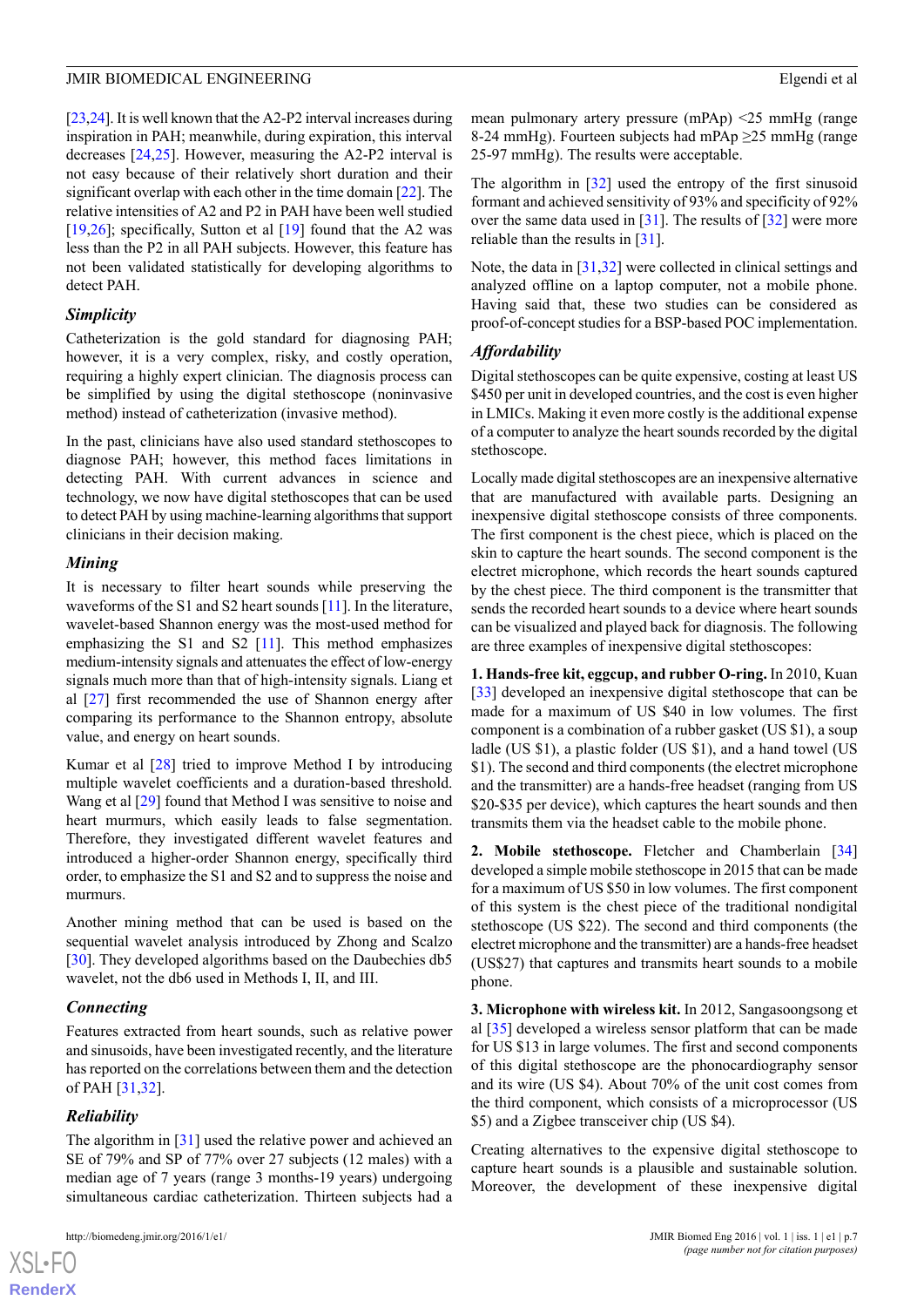[[23,](#page-11-8)[24\]](#page-11-9). It is well known that the A2-P2 interval increases during inspiration in PAH; meanwhile, during expiration, this interval decreases [\[24](#page-11-9),[25\]](#page-11-10). However, measuring the A2-P2 interval is not easy because of their relatively short duration and their significant overlap with each other in the time domain [\[22](#page-11-7)]. The relative intensities of A2 and P2 in PAH have been well studied [[19](#page-11-6)[,26](#page-11-11)]; specifically, Sutton et al  $[19]$  $[19]$  found that the A2 was less than the P2 in all PAH subjects. However, this feature has not been validated statistically for developing algorithms to detect PAH.

# *Simplicity*

Catheterization is the gold standard for diagnosing PAH; however, it is a very complex, risky, and costly operation, requiring a highly expert clinician. The diagnosis process can be simplified by using the digital stethoscope (noninvasive method) instead of catheterization (invasive method).

In the past, clinicians have also used standard stethoscopes to diagnose PAH; however, this method faces limitations in detecting PAH. With current advances in science and technology, we now have digital stethoscopes that can be used to detect PAH by using machine-learning algorithms that support clinicians in their decision making.

# *Mining*

It is necessary to filter heart sounds while preserving the waveforms of the S1 and S2 heart sounds [[11](#page-10-10)]. In the literature, wavelet-based Shannon energy was the most-used method for emphasizing the S1 and S2 [\[11\]](#page-10-10). This method emphasizes medium-intensity signals and attenuates the effect of low-energy signals much more than that of high-intensity signals. Liang et al [\[27](#page-11-12)] first recommended the use of Shannon energy after comparing its performance to the Shannon entropy, absolute value, and energy on heart sounds.

Kumar et al  $[28]$  $[28]$  tried to improve Method I by introducing multiple wavelet coefficients and a duration-based threshold. Wang et al [\[29](#page-11-14)] found that Method I was sensitive to noise and heart murmurs, which easily leads to false segmentation. Therefore, they investigated different wavelet features and introduced a higher-order Shannon energy, specifically third order, to emphasize the S1 and S2 and to suppress the noise and murmurs.

Another mining method that can be used is based on the sequential wavelet analysis introduced by Zhong and Scalzo [[30\]](#page-11-15). They developed algorithms based on the Daubechies db5 wavelet, not the db6 used in Methods I, II, and III.

# *Connecting*

Features extracted from heart sounds, such as relative power and sinusoids, have been investigated recently, and the literature has reported on the correlations between them and the detection of PAH [\[31](#page-11-16),[32\]](#page-11-17).

# *Reliability*

[XSL](http://www.w3.org/Style/XSL)•FO **[RenderX](http://www.renderx.com/)**

The algorithm in [[31\]](#page-11-16) used the relative power and achieved an SE of 79% and SP of 77% over 27 subjects (12 males) with a median age of 7 years (range 3 months-19 years) undergoing simultaneous cardiac catheterization. Thirteen subjects had a

mean pulmonary artery pressure (mPAp) <25 mmHg (range 8-24 mmHg). Fourteen subjects had mPAp ≥25 mmHg (range 25-97 mmHg). The results were acceptable.

The algorithm in [[32\]](#page-11-17) used the entropy of the first sinusoid formant and achieved sensitivity of 93% and specificity of 92% over the same data used in  $\left[31\right]$  $\left[31\right]$  $\left[31\right]$ . The results of  $\left[32\right]$  $\left[32\right]$  $\left[32\right]$  were more reliable than the results in [[31\]](#page-11-16).

Note, the data in [\[31](#page-11-16),[32\]](#page-11-17) were collected in clinical settings and analyzed offline on a laptop computer, not a mobile phone. Having said that, these two studies can be considered as proof-of-concept studies for a BSP-based POC implementation.

# *Affordability*

Digital stethoscopes can be quite expensive, costing at least US \$450 per unit in developed countries, and the cost is even higher in LMICs. Making it even more costly is the additional expense of a computer to analyze the heart sounds recorded by the digital stethoscope.

Locally made digital stethoscopes are an inexpensive alternative that are manufactured with available parts. Designing an inexpensive digital stethoscope consists of three components. The first component is the chest piece, which is placed on the skin to capture the heart sounds. The second component is the electret microphone, which records the heart sounds captured by the chest piece. The third component is the transmitter that sends the recorded heart sounds to a device where heart sounds can be visualized and played back for diagnosis. The following are three examples of inexpensive digital stethoscopes:

**1. Hands-free kit, eggcup, and rubber O-ring.** In 2010, Kuan [[33\]](#page-11-18) developed an inexpensive digital stethoscope that can be made for a maximum of US \$40 in low volumes. The first component is a combination of a rubber gasket (US \$1), a soup ladle (US \$1), a plastic folder (US \$1), and a hand towel (US \$1). The second and third components (the electret microphone and the transmitter) are a hands-free headset (ranging from US \$20-\$35 per device), which captures the heart sounds and then transmits them via the headset cable to the mobile phone.

**2. Mobile stethoscope.** Fletcher and Chamberlain [\[34](#page-11-19)] developed a simple mobile stethoscope in 2015 that can be made for a maximum of US \$50 in low volumes. The first component of this system is the chest piece of the traditional nondigital stethoscope (US \$22). The second and third components (the electret microphone and the transmitter) are a hands-free headset (US\$27) that captures and transmits heart sounds to a mobile phone.

**3. Microphone with wireless kit.** In 2012, Sangasoongsong et al [[35\]](#page-11-20) developed a wireless sensor platform that can be made for US \$13 in large volumes. The first and second components of this digital stethoscope are the phonocardiography sensor and its wire (US \$4). About 70% of the unit cost comes from the third component, which consists of a microprocessor (US \$5) and a Zigbee transceiver chip (US \$4).

Creating alternatives to the expensive digital stethoscope to capture heart sounds is a plausible and sustainable solution. Moreover, the development of these inexpensive digital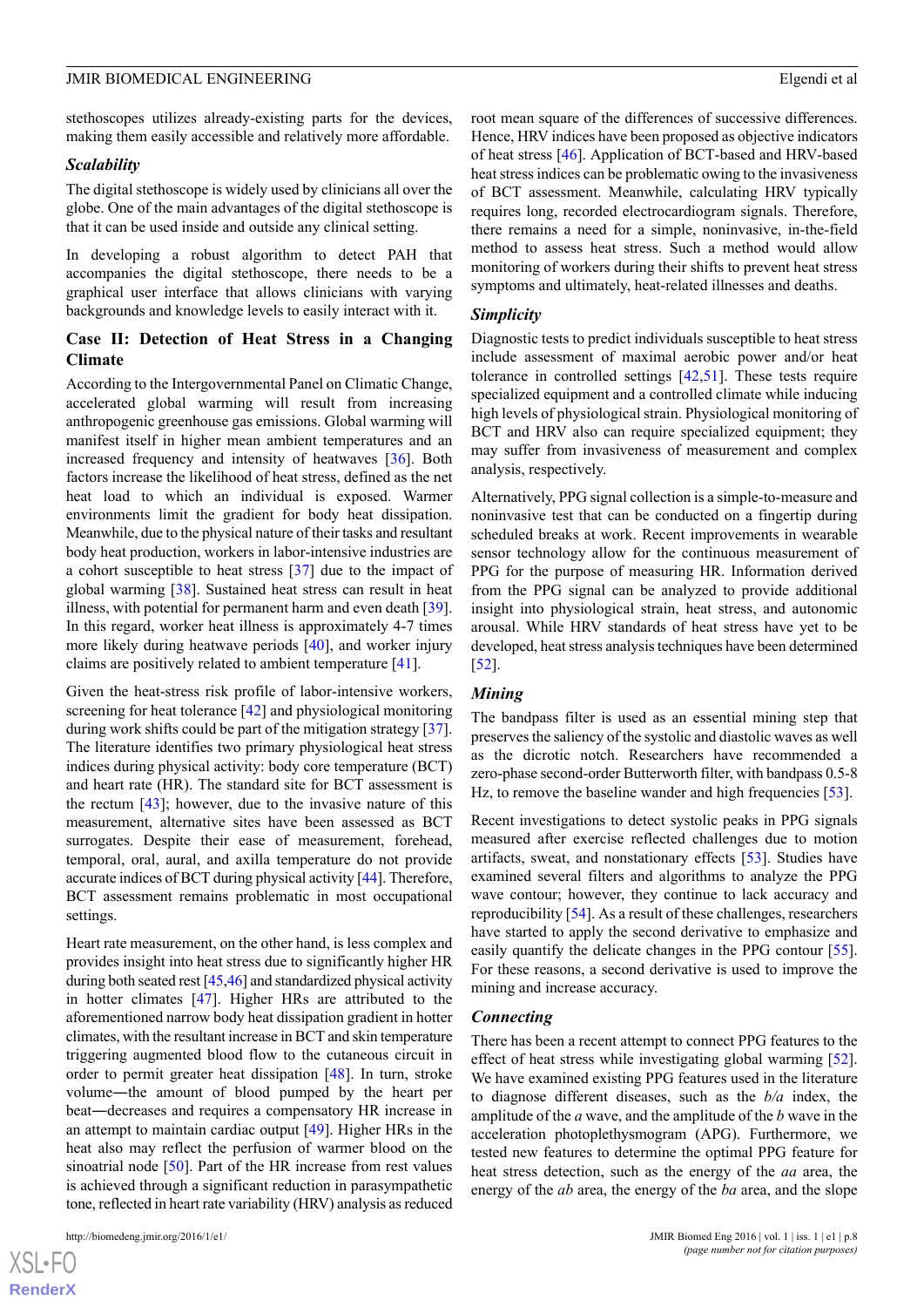stethoscopes utilizes already-existing parts for the devices, making them easily accessible and relatively more affordable.

#### *Scalability*

The digital stethoscope is widely used by clinicians all over the globe. One of the main advantages of the digital stethoscope is that it can be used inside and outside any clinical setting.

In developing a robust algorithm to detect PAH that accompanies the digital stethoscope, there needs to be a graphical user interface that allows clinicians with varying backgrounds and knowledge levels to easily interact with it.

# **Case II: Detection of Heat Stress in a Changing Climate**

According to the Intergovernmental Panel on Climatic Change, accelerated global warming will result from increasing anthropogenic greenhouse gas emissions. Global warming will manifest itself in higher mean ambient temperatures and an increased frequency and intensity of heatwaves [[36\]](#page-11-21). Both factors increase the likelihood of heat stress, defined as the net heat load to which an individual is exposed. Warmer environments limit the gradient for body heat dissipation. Meanwhile, due to the physical nature of their tasks and resultant body heat production, workers in labor-intensive industries are a cohort susceptible to heat stress [[37\]](#page-12-0) due to the impact of global warming [\[38](#page-12-1)]. Sustained heat stress can result in heat illness, with potential for permanent harm and even death [[39\]](#page-12-2). In this regard, worker heat illness is approximately 4-7 times more likely during heatwave periods [\[40](#page-12-3)], and worker injury claims are positively related to ambient temperature [[41\]](#page-12-4).

Given the heat-stress risk profile of labor-intensive workers, screening for heat tolerance [\[42](#page-12-5)] and physiological monitoring during work shifts could be part of the mitigation strategy [[37\]](#page-12-0). The literature identifies two primary physiological heat stress indices during physical activity: body core temperature (BCT) and heart rate (HR). The standard site for BCT assessment is the rectum  $[43]$  $[43]$ ; however, due to the invasive nature of this measurement, alternative sites have been assessed as BCT surrogates. Despite their ease of measurement, forehead, temporal, oral, aural, and axilla temperature do not provide accurate indices of BCT during physical activity [\[44](#page-12-7)]. Therefore, BCT assessment remains problematic in most occupational settings.

Heart rate measurement, on the other hand, is less complex and provides insight into heat stress due to significantly higher HR during both seated rest [\[45](#page-12-8)[,46](#page-12-9)] and standardized physical activity in hotter climates [[47\]](#page-12-10). Higher HRs are attributed to the aforementioned narrow body heat dissipation gradient in hotter climates, with the resultant increase in BCT and skin temperature triggering augmented blood flow to the cutaneous circuit in order to permit greater heat dissipation [\[48](#page-12-11)]. In turn, stroke volume―the amount of blood pumped by the heart per beat―decreases and requires a compensatory HR increase in an attempt to maintain cardiac output [\[49](#page-12-12)]. Higher HRs in the heat also may reflect the perfusion of warmer blood on the sinoatrial node [[50\]](#page-12-13). Part of the HR increase from rest values is achieved through a significant reduction in parasympathetic tone, reflected in heart rate variability (HRV) analysis as reduced

[XSL](http://www.w3.org/Style/XSL)•FO **[RenderX](http://www.renderx.com/)** root mean square of the differences of successive differences. Hence, HRV indices have been proposed as objective indicators of heat stress [[46](#page-12-9)]. Application of BCT-based and HRV-based heat stress indices can be problematic owing to the invasiveness of BCT assessment. Meanwhile, calculating HRV typically requires long, recorded electrocardiogram signals. Therefore, there remains a need for a simple, noninvasive, in-the-field method to assess heat stress. Such a method would allow monitoring of workers during their shifts to prevent heat stress symptoms and ultimately, heat-related illnesses and deaths.

#### *Simplicity*

Diagnostic tests to predict individuals susceptible to heat stress include assessment of maximal aerobic power and/or heat tolerance in controlled settings [[42,](#page-12-5)[51](#page-12-14)]. These tests require specialized equipment and a controlled climate while inducing high levels of physiological strain. Physiological monitoring of BCT and HRV also can require specialized equipment; they may suffer from invasiveness of measurement and complex analysis, respectively.

Alternatively, PPG signal collection is a simple-to-measure and noninvasive test that can be conducted on a fingertip during scheduled breaks at work. Recent improvements in wearable sensor technology allow for the continuous measurement of PPG for the purpose of measuring HR. Information derived from the PPG signal can be analyzed to provide additional insight into physiological strain, heat stress, and autonomic arousal. While HRV standards of heat stress have yet to be developed, heat stress analysis techniques have been determined [[52\]](#page-12-15).

#### *Mining*

The bandpass filter is used as an essential mining step that preserves the saliency of the systolic and diastolic waves as well as the dicrotic notch. Researchers have recommended a zero-phase second-order Butterworth filter, with bandpass 0.5-8 Hz, to remove the baseline wander and high frequencies [[53\]](#page-12-16).

Recent investigations to detect systolic peaks in PPG signals measured after exercise reflected challenges due to motion artifacts, sweat, and nonstationary effects [\[53](#page-12-16)]. Studies have examined several filters and algorithms to analyze the PPG wave contour; however, they continue to lack accuracy and reproducibility [[54\]](#page-12-17). As a result of these challenges, researchers have started to apply the second derivative to emphasize and easily quantify the delicate changes in the PPG contour [[55\]](#page-12-18). For these reasons, a second derivative is used to improve the mining and increase accuracy.

#### *Connecting*

There has been a recent attempt to connect PPG features to the effect of heat stress while investigating global warming [[52\]](#page-12-15). We have examined existing PPG features used in the literature to diagnose different diseases, such as the *b/a* index, the amplitude of the *a* wave, and the amplitude of the *b* wave in the acceleration photoplethysmogram (APG). Furthermore, we tested new features to determine the optimal PPG feature for heat stress detection, such as the energy of the *aa* area, the energy of the *ab* area, the energy of the *ba* area, and the slope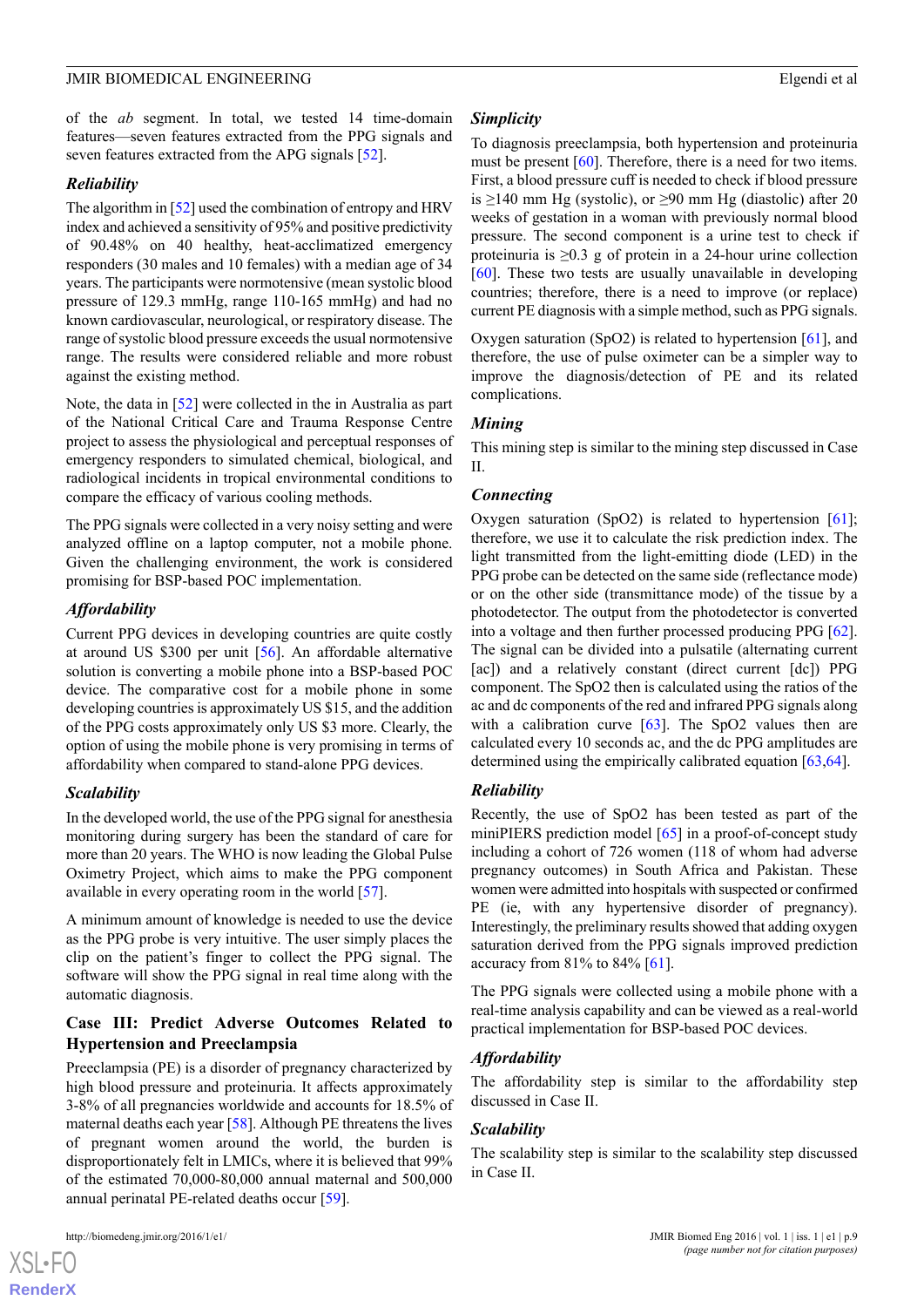of the *ab* segment. In total, we tested 14 time-domain features—seven features extracted from the PPG signals and seven features extracted from the APG signals [[52\]](#page-12-15).

# *Reliability*

The algorithm in [[52\]](#page-12-15) used the combination of entropy and HRV index and achieved a sensitivity of 95% and positive predictivity of 90.48% on 40 healthy, heat-acclimatized emergency responders (30 males and 10 females) with a median age of 34 years. The participants were normotensive (mean systolic blood pressure of 129.3 mmHg, range 110-165 mmHg) and had no known cardiovascular, neurological, or respiratory disease. The range of systolic blood pressure exceeds the usual normotensive range. The results were considered reliable and more robust against the existing method.

Note, the data in [\[52](#page-12-15)] were collected in the in Australia as part of the National Critical Care and Trauma Response Centre project to assess the physiological and perceptual responses of emergency responders to simulated chemical, biological, and radiological incidents in tropical environmental conditions to compare the efficacy of various cooling methods.

The PPG signals were collected in a very noisy setting and were analyzed offline on a laptop computer, not a mobile phone. Given the challenging environment, the work is considered promising for BSP-based POC implementation.

# *Affordability*

Current PPG devices in developing countries are quite costly at around US \$300 per unit [[56\]](#page-12-19). An affordable alternative solution is converting a mobile phone into a BSP-based POC device. The comparative cost for a mobile phone in some developing countries is approximately US \$15, and the addition of the PPG costs approximately only US \$3 more. Clearly, the option of using the mobile phone is very promising in terms of affordability when compared to stand-alone PPG devices.

# *Scalability*

In the developed world, the use of the PPG signal for anesthesia monitoring during surgery has been the standard of care for more than 20 years. The WHO is now leading the Global Pulse Oximetry Project, which aims to make the PPG component available in every operating room in the world [[57\]](#page-12-20).

A minimum amount of knowledge is needed to use the device as the PPG probe is very intuitive. The user simply places the clip on the patient's finger to collect the PPG signal. The software will show the PPG signal in real time along with the automatic diagnosis.

# **Case III: Predict Adverse Outcomes Related to Hypertension and Preeclampsia**

Preeclampsia (PE) is a disorder of pregnancy characterized by high blood pressure and proteinuria. It affects approximately 3-8% of all pregnancies worldwide and accounts for 18.5% of maternal deaths each year [[58\]](#page-12-21). Although PE threatens the lives of pregnant women around the world, the burden is disproportionately felt in LMICs, where it is believed that 99% of the estimated 70,000-80,000 annual maternal and 500,000 annual perinatal PE-related deaths occur [[59\]](#page-12-22).

#### http://biomedeng.jmir.org/2016/1/e1/ JMIR Biomed Eng 2016 | vol. 1 | iss. 1 | e1 | p.9

#### *Simplicity*

To diagnosis preeclampsia, both hypertension and proteinuria must be present [[60\]](#page-12-23). Therefore, there is a need for two items. First, a blood pressure cuff is needed to check if blood pressure is  $\geq$ 140 mm Hg (systolic), or  $\geq$ 90 mm Hg (diastolic) after 20 weeks of gestation in a woman with previously normal blood pressure. The second component is a urine test to check if proteinuria is  $\geq 0.3$  g of protein in a 24-hour urine collection [[60\]](#page-12-23). These two tests are usually unavailable in developing countries; therefore, there is a need to improve (or replace) current PE diagnosis with a simple method, such as PPG signals.

Oxygen saturation (SpO2) is related to hypertension  $[61]$  $[61]$ , and therefore, the use of pulse oximeter can be a simpler way to improve the diagnosis/detection of PE and its related complications.

# *Mining*

This mining step is similar to the mining step discussed in Case II.

#### *Connecting*

Oxygen saturation (SpO2) is related to hypertension  $[61]$  $[61]$ ; therefore, we use it to calculate the risk prediction index. The light transmitted from the light-emitting diode (LED) in the PPG probe can be detected on the same side (reflectance mode) or on the other side (transmittance mode) of the tissue by a photodetector. The output from the photodetector is converted into a voltage and then further processed producing PPG [[62\]](#page-13-0). The signal can be divided into a pulsatile (alternating current [ac]) and a relatively constant (direct current [dc]) PPG component. The SpO2 then is calculated using the ratios of the ac and dc components of the red and infrared PPG signals along with a calibration curve  $[63]$  $[63]$ . The SpO2 values then are calculated every 10 seconds ac, and the dc PPG amplitudes are determined using the empirically calibrated equation [[63](#page-13-1)[,64](#page-13-2)].

# *Reliability*

Recently, the use of SpO2 has been tested as part of the miniPIERS prediction model [\[65](#page-13-3)] in a proof-of-concept study including a cohort of 726 women (118 of whom had adverse pregnancy outcomes) in South Africa and Pakistan. These women were admitted into hospitals with suspected or confirmed PE (ie, with any hypertensive disorder of pregnancy). Interestingly, the preliminary results showed that adding oxygen saturation derived from the PPG signals improved prediction accuracy from 81% to 84% [[61\]](#page-12-24).

The PPG signals were collected using a mobile phone with a real-time analysis capability and can be viewed as a real-world practical implementation for BSP-based POC devices.

# *Affordability*

The affordability step is similar to the affordability step discussed in Case II.

# *Scalability*

The scalability step is similar to the scalability step discussed in Case II.

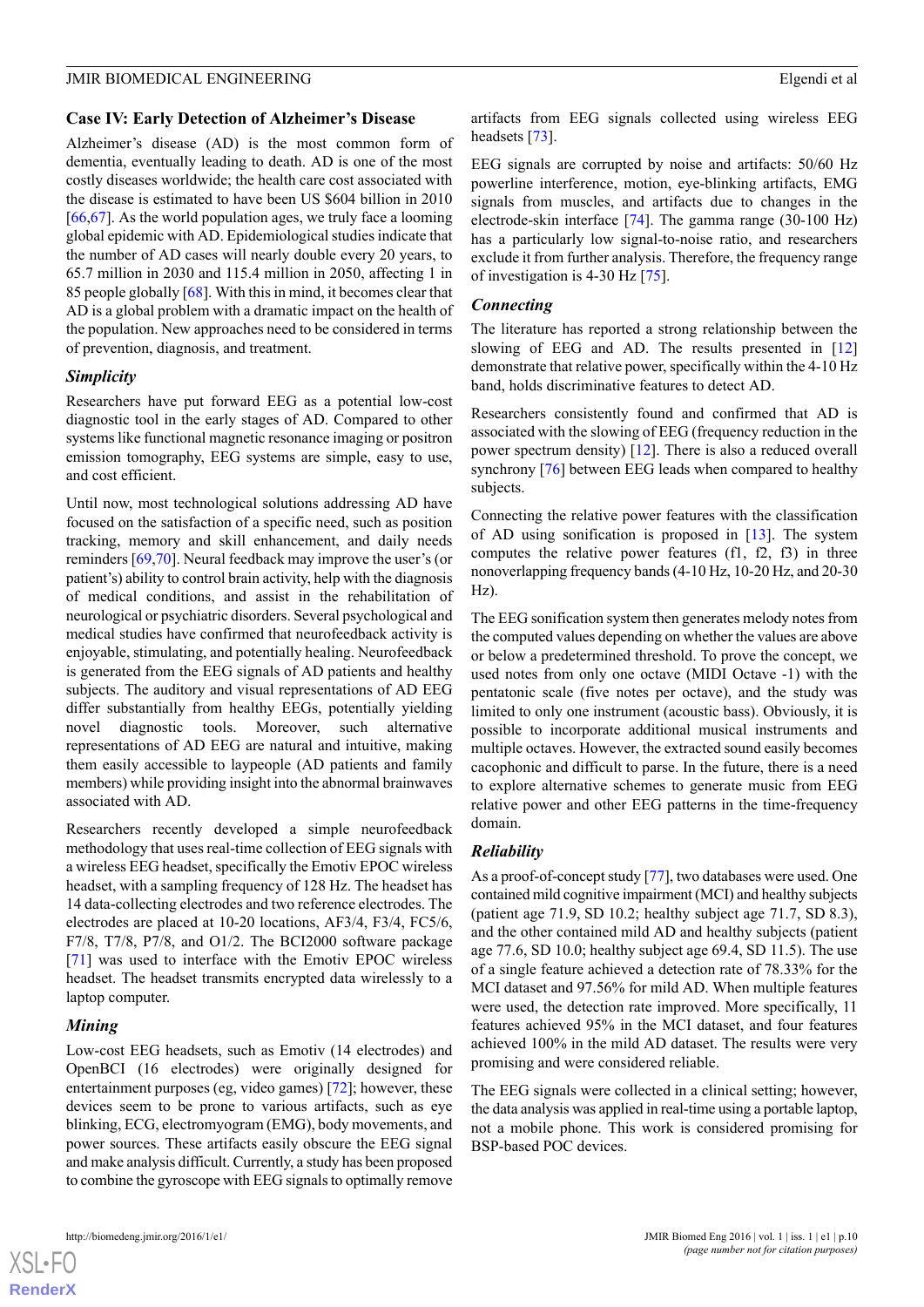#### **Case IV: Early Detection of Alzheimer's Disease**

Alzheimer's disease (AD) is the most common form of dementia, eventually leading to death. AD is one of the most costly diseases worldwide; the health care cost associated with the disease is estimated to have been US \$604 billion in 2010  $[66,67]$  $[66,67]$  $[66,67]$  $[66,67]$ . As the world population ages, we truly face a looming global epidemic with AD. Epidemiological studies indicate that the number of AD cases will nearly double every 20 years, to 65.7 million in 2030 and 115.4 million in 2050, affecting 1 in 85 people globally [[68\]](#page-13-6). With this in mind, it becomes clear that AD is a global problem with a dramatic impact on the health of the population. New approaches need to be considered in terms of prevention, diagnosis, and treatment.

# *Simplicity*

Researchers have put forward EEG as a potential low-cost diagnostic tool in the early stages of AD. Compared to other systems like functional magnetic resonance imaging or positron emission tomography, EEG systems are simple, easy to use, and cost efficient.

Until now, most technological solutions addressing AD have focused on the satisfaction of a specific need, such as position tracking, memory and skill enhancement, and daily needs reminders [[69](#page-13-7)[,70](#page-13-8)]. Neural feedback may improve the user's (or patient's) ability to control brain activity, help with the diagnosis of medical conditions, and assist in the rehabilitation of neurological or psychiatric disorders. Several psychological and medical studies have confirmed that neurofeedback activity is enjoyable, stimulating, and potentially healing. Neurofeedback is generated from the EEG signals of AD patients and healthy subjects. The auditory and visual representations of AD EEG differ substantially from healthy EEGs, potentially yielding novel diagnostic tools. Moreover, such alternative representations of AD EEG are natural and intuitive, making them easily accessible to laypeople (AD patients and family members) while providing insight into the abnormal brainwaves associated with AD.

Researchers recently developed a simple neurofeedback methodology that uses real-time collection of EEG signals with a wireless EEG headset, specifically the Emotiv EPOC wireless headset, with a sampling frequency of 128 Hz. The headset has 14 data-collecting electrodes and two reference electrodes. The electrodes are placed at 10-20 locations, AF3/4, F3/4, FC5/6, F7/8, T7/8, P7/8, and O1/2. The BCI2000 software package [[71\]](#page-13-9) was used to interface with the Emotiv EPOC wireless headset. The headset transmits encrypted data wirelessly to a laptop computer.

# *Mining*

Low-cost EEG headsets, such as Emotiv (14 electrodes) and OpenBCI (16 electrodes) were originally designed for entertainment purposes (eg, video games) [[72\]](#page-13-10); however, these devices seem to be prone to various artifacts, such as eye blinking, ECG, electromyogram (EMG), body movements, and power sources. These artifacts easily obscure the EEG signal and make analysis difficult. Currently, a study has been proposed to combine the gyroscope with EEG signals to optimally remove

artifacts from EEG signals collected using wireless EEG headsets [\[73](#page-13-11)].

EEG signals are corrupted by noise and artifacts: 50/60 Hz powerline interference, motion, eye-blinking artifacts, EMG signals from muscles, and artifacts due to changes in the electrode-skin interface [[74\]](#page-13-12). The gamma range (30-100 Hz) has a particularly low signal-to-noise ratio, and researchers exclude it from further analysis. Therefore, the frequency range of investigation is 4-30 Hz [\[75](#page-13-13)].

#### *Connecting*

The literature has reported a strong relationship between the slowing of EEG and AD. The results presented in [\[12](#page-10-11)] demonstrate that relative power, specifically within the 4-10 Hz band, holds discriminative features to detect AD.

Researchers consistently found and confirmed that AD is associated with the slowing of EEG (frequency reduction in the power spectrum density) [[12\]](#page-10-11). There is also a reduced overall synchrony [\[76](#page-13-14)] between EEG leads when compared to healthy subjects.

Connecting the relative power features with the classification of AD using sonification is proposed in  $[13]$  $[13]$ . The system computes the relative power features (f1, f2, f3) in three nonoverlapping frequency bands (4-10 Hz, 10-20 Hz, and 20-30 Hz).

The EEG sonification system then generates melody notes from the computed values depending on whether the values are above or below a predetermined threshold. To prove the concept, we used notes from only one octave (MIDI Octave -1) with the pentatonic scale (five notes per octave), and the study was limited to only one instrument (acoustic bass). Obviously, it is possible to incorporate additional musical instruments and multiple octaves. However, the extracted sound easily becomes cacophonic and difficult to parse. In the future, there is a need to explore alternative schemes to generate music from EEG relative power and other EEG patterns in the time-frequency domain.

# *Reliability*

As a proof-of-concept study [\[77](#page-13-15)], two databases were used. One contained mild cognitive impairment (MCI) and healthy subjects (patient age 71.9, SD 10.2; healthy subject age 71.7, SD 8.3), and the other contained mild AD and healthy subjects (patient age 77.6, SD 10.0; healthy subject age 69.4, SD 11.5). The use of a single feature achieved a detection rate of 78.33% for the MCI dataset and 97.56% for mild AD. When multiple features were used, the detection rate improved. More specifically, 11 features achieved 95% in the MCI dataset, and four features achieved 100% in the mild AD dataset. The results were very promising and were considered reliable.

The EEG signals were collected in a clinical setting; however, the data analysis was applied in real-time using a portable laptop, not a mobile phone. This work is considered promising for BSP-based POC devices.



 $XSI - F($ **[RenderX](http://www.renderx.com/)**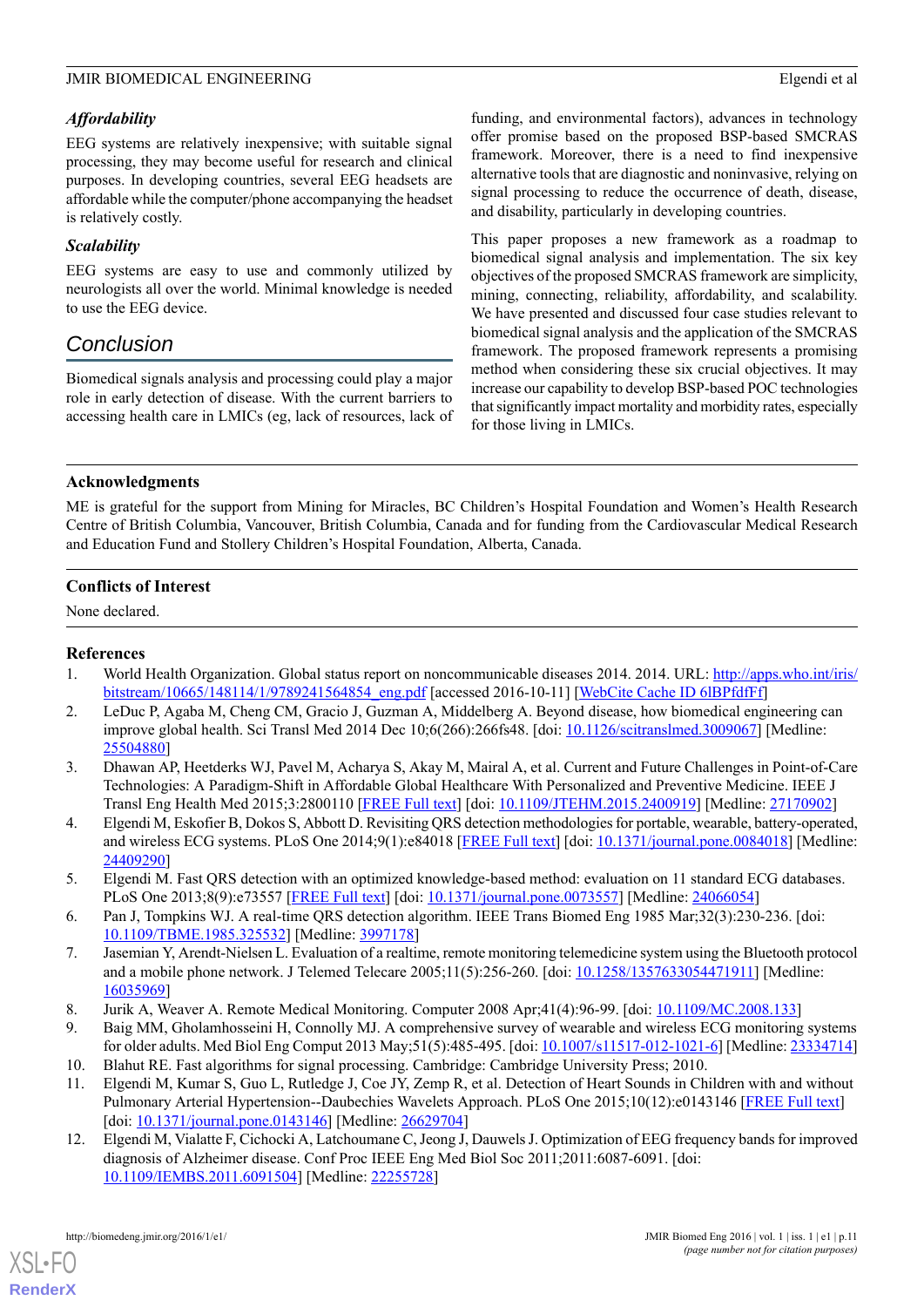# *Affordability*

EEG systems are relatively inexpensive; with suitable signal processing, they may become useful for research and clinical purposes. In developing countries, several EEG headsets are affordable while the computer/phone accompanying the headset is relatively costly.

# *Scalability*

EEG systems are easy to use and commonly utilized by neurologists all over the world. Minimal knowledge is needed to use the EEG device.

# *Conclusion*

Biomedical signals analysis and processing could play a major role in early detection of disease. With the current barriers to accessing health care in LMICs (eg, lack of resources, lack of funding, and environmental factors), advances in technology offer promise based on the proposed BSP-based SMCRAS framework. Moreover, there is a need to find inexpensive alternative tools that are diagnostic and noninvasive, relying on signal processing to reduce the occurrence of death, disease, and disability, particularly in developing countries.

This paper proposes a new framework as a roadmap to biomedical signal analysis and implementation. The six key objectives of the proposed SMCRAS framework are simplicity, mining, connecting, reliability, affordability, and scalability. We have presented and discussed four case studies relevant to biomedical signal analysis and the application of the SMCRAS framework. The proposed framework represents a promising method when considering these six crucial objectives. It may increase our capability to develop BSP-based POC technologies that significantly impact mortality and morbidity rates, especially for those living in LMICs.

# **Acknowledgments**

ME is grateful for the support from Mining for Miracles, BC Children's Hospital Foundation and Women's Health Research Centre of British Columbia, Vancouver, British Columbia, Canada and for funding from the Cardiovascular Medical Research and Education Fund and Stollery Children's Hospital Foundation, Alberta, Canada.

# **Conflicts of Interest**

<span id="page-10-0"></span>None declared.

# <span id="page-10-1"></span>**References**

- <span id="page-10-2"></span>1. World Health Organization. Global status report on noncommunicable diseases 2014. 2014. URL: [http://apps.who.int/iris/](http://apps.who.int/iris/bitstream/10665/148114/1/9789241564854_eng.pdf) [bitstream/10665/148114/1/9789241564854\\_eng.pdf](http://apps.who.int/iris/bitstream/10665/148114/1/9789241564854_eng.pdf) [accessed 2016-10-11] [\[WebCite Cache ID 6lBPfdfFf\]](http://www.webcitation.org/6lBPfdfFf)
- 2. LeDuc P, Agaba M, Cheng CM, Gracio J, Guzman A, Middelberg A. Beyond disease, how biomedical engineering can improve global health. Sci Transl Med 2014 Dec 10;6(266):266fs48. [doi: [10.1126/scitranslmed.3009067\]](http://dx.doi.org/10.1126/scitranslmed.3009067) [Medline: [25504880](http://www.ncbi.nlm.nih.gov/entrez/query.fcgi?cmd=Retrieve&db=PubMed&list_uids=25504880&dopt=Abstract)]
- <span id="page-10-4"></span><span id="page-10-3"></span>3. Dhawan AP, Heetderks WJ, Pavel M, Acharya S, Akay M, Mairal A, et al. Current and Future Challenges in Point-of-Care Technologies: A Paradigm-Shift in Affordable Global Healthcare With Personalized and Preventive Medicine. IEEE J Transl Eng Health Med 2015;3:2800110 [[FREE Full text](http://europepmc.org/abstract/MED/27170902)] [doi: [10.1109/JTEHM.2015.2400919](http://dx.doi.org/10.1109/JTEHM.2015.2400919)] [Medline: [27170902](http://www.ncbi.nlm.nih.gov/entrez/query.fcgi?cmd=Retrieve&db=PubMed&list_uids=27170902&dopt=Abstract)]
- <span id="page-10-5"></span>4. Elgendi M, Eskofier B, Dokos S, Abbott D. Revisiting QRS detection methodologies for portable, wearable, battery-operated, and wireless ECG systems. PLoS One 2014;9(1):e84018 [[FREE Full text\]](http://dx.plos.org/10.1371/journal.pone.0084018) [doi: [10.1371/journal.pone.0084018\]](http://dx.doi.org/10.1371/journal.pone.0084018) [Medline: [24409290](http://www.ncbi.nlm.nih.gov/entrez/query.fcgi?cmd=Retrieve&db=PubMed&list_uids=24409290&dopt=Abstract)]
- <span id="page-10-6"></span>5. Elgendi M. Fast QRS detection with an optimized knowledge-based method: evaluation on 11 standard ECG databases. PLoS One 2013;8(9):e73557 [[FREE Full text](http://dx.plos.org/10.1371/journal.pone.0073557)] [doi: [10.1371/journal.pone.0073557](http://dx.doi.org/10.1371/journal.pone.0073557)] [Medline: [24066054](http://www.ncbi.nlm.nih.gov/entrez/query.fcgi?cmd=Retrieve&db=PubMed&list_uids=24066054&dopt=Abstract)]
- <span id="page-10-8"></span><span id="page-10-7"></span>6. Pan J, Tompkins WJ. A real-time QRS detection algorithm. IEEE Trans Biomed Eng 1985 Mar;32(3):230-236. [doi: [10.1109/TBME.1985.325532](http://dx.doi.org/10.1109/TBME.1985.325532)] [Medline: [3997178\]](http://www.ncbi.nlm.nih.gov/entrez/query.fcgi?cmd=Retrieve&db=PubMed&list_uids=3997178&dopt=Abstract)
- <span id="page-10-10"></span><span id="page-10-9"></span>7. Jasemian Y, Arendt-Nielsen L. Evaluation of a realtime, remote monitoring telemedicine system using the Bluetooth protocol and a mobile phone network. J Telemed Telecare 2005;11(5):256-260. [doi: [10.1258/1357633054471911](http://dx.doi.org/10.1258/1357633054471911)] [Medline: [16035969](http://www.ncbi.nlm.nih.gov/entrez/query.fcgi?cmd=Retrieve&db=PubMed&list_uids=16035969&dopt=Abstract)]
- 8. Jurik A, Weaver A. Remote Medical Monitoring. Computer 2008 Apr;41(4):96-99. [doi: [10.1109/MC.2008.133](http://dx.doi.org/10.1109/MC.2008.133)]
- <span id="page-10-11"></span>9. Baig MM, Gholamhosseini H, Connolly MJ. A comprehensive survey of wearable and wireless ECG monitoring systems for older adults. Med Biol Eng Comput 2013 May;51(5):485-495. [doi: [10.1007/s11517-012-1021-6\]](http://dx.doi.org/10.1007/s11517-012-1021-6) [Medline: [23334714](http://www.ncbi.nlm.nih.gov/entrez/query.fcgi?cmd=Retrieve&db=PubMed&list_uids=23334714&dopt=Abstract)]
- 10. Blahut RE. Fast algorithms for signal processing. Cambridge: Cambridge University Press; 2010.
- 11. Elgendi M, Kumar S, Guo L, Rutledge J, Coe JY, Zemp R, et al. Detection of Heart Sounds in Children with and without Pulmonary Arterial Hypertension--Daubechies Wavelets Approach. PLoS One 2015;10(12):e0143146 [[FREE Full text](http://dx.plos.org/10.1371/journal.pone.0143146)] [doi: [10.1371/journal.pone.0143146\]](http://dx.doi.org/10.1371/journal.pone.0143146) [Medline: [26629704\]](http://www.ncbi.nlm.nih.gov/entrez/query.fcgi?cmd=Retrieve&db=PubMed&list_uids=26629704&dopt=Abstract)
- 12. Elgendi M, Vialatte F, Cichocki A, Latchoumane C, Jeong J, Dauwels J. Optimization of EEG frequency bands for improved diagnosis of Alzheimer disease. Conf Proc IEEE Eng Med Biol Soc 2011;2011:6087-6091. [doi: [10.1109/IEMBS.2011.6091504\]](http://dx.doi.org/10.1109/IEMBS.2011.6091504) [Medline: [22255728](http://www.ncbi.nlm.nih.gov/entrez/query.fcgi?cmd=Retrieve&db=PubMed&list_uids=22255728&dopt=Abstract)]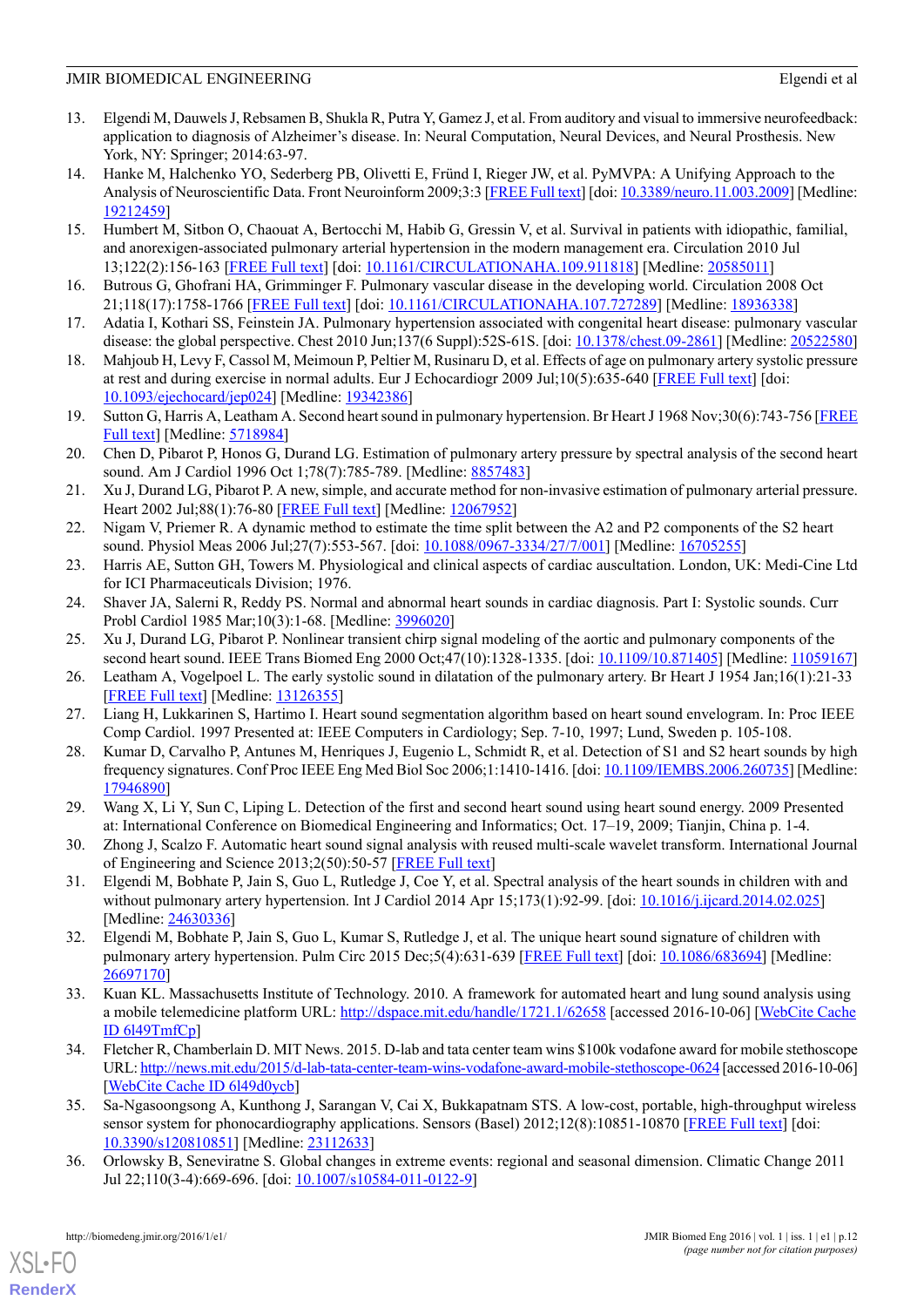- <span id="page-11-0"></span>13. Elgendi M, Dauwels J, Rebsamen B, Shukla R, Putra Y, Gamez J, et al. From auditory and visual to immersive neurofeedback: application to diagnosis of Alzheimer's disease. In: Neural Computation, Neural Devices, and Neural Prosthesis. New York, NY: Springer; 2014:63-97.
- <span id="page-11-1"></span>14. Hanke M, Halchenko YO, Sederberg PB, Olivetti E, Fründ I, Rieger JW, et al. PyMVPA: A Unifying Approach to the Analysis of Neuroscientific Data. Front Neuroinform 2009;3:3 [[FREE Full text](http://dx.doi.org/10.3389/neuro.11.003.2009)] [doi: [10.3389/neuro.11.003.2009\]](http://dx.doi.org/10.3389/neuro.11.003.2009) [Medline: [19212459](http://www.ncbi.nlm.nih.gov/entrez/query.fcgi?cmd=Retrieve&db=PubMed&list_uids=19212459&dopt=Abstract)]
- <span id="page-11-2"></span>15. Humbert M, Sitbon O, Chaouat A, Bertocchi M, Habib G, Gressin V, et al. Survival in patients with idiopathic, familial, and anorexigen-associated pulmonary arterial hypertension in the modern management era. Circulation 2010 Jul 13;122(2):156-163 [[FREE Full text](http://circ.ahajournals.org/cgi/pmidlookup?view=long&pmid=20585011)] [doi: [10.1161/CIRCULATIONAHA.109.911818](http://dx.doi.org/10.1161/CIRCULATIONAHA.109.911818)] [Medline: [20585011\]](http://www.ncbi.nlm.nih.gov/entrez/query.fcgi?cmd=Retrieve&db=PubMed&list_uids=20585011&dopt=Abstract)
- <span id="page-11-4"></span><span id="page-11-3"></span>16. Butrous G, Ghofrani HA, Grimminger F. Pulmonary vascular disease in the developing world. Circulation 2008 Oct 21;118(17):1758-1766 [\[FREE Full text\]](http://circ.ahajournals.org/cgi/pmidlookup?view=long&pmid=18936338) [doi: [10.1161/CIRCULATIONAHA.107.727289](http://dx.doi.org/10.1161/CIRCULATIONAHA.107.727289)] [Medline: [18936338](http://www.ncbi.nlm.nih.gov/entrez/query.fcgi?cmd=Retrieve&db=PubMed&list_uids=18936338&dopt=Abstract)]
- <span id="page-11-5"></span>17. Adatia I, Kothari SS, Feinstein JA. Pulmonary hypertension associated with congenital heart disease: pulmonary vascular disease: the global perspective. Chest 2010 Jun;137(6 Suppl):52S-61S. [doi: [10.1378/chest.09-2861](http://dx.doi.org/10.1378/chest.09-2861)] [Medline: [20522580](http://www.ncbi.nlm.nih.gov/entrez/query.fcgi?cmd=Retrieve&db=PubMed&list_uids=20522580&dopt=Abstract)]
- <span id="page-11-6"></span>18. Mahjoub H, Levy F, Cassol M, Meimoun P, Peltier M, Rusinaru D, et al. Effects of age on pulmonary artery systolic pressure at rest and during exercise in normal adults. Eur J Echocardiogr 2009 Jul;10(5):635-640 [[FREE Full text](http://ehjcimaging.oxfordjournals.org/cgi/pmidlookup?view=long&pmid=19342386)] [doi: [10.1093/ejechocard/jep024](http://dx.doi.org/10.1093/ejechocard/jep024)] [Medline: [19342386\]](http://www.ncbi.nlm.nih.gov/entrez/query.fcgi?cmd=Retrieve&db=PubMed&list_uids=19342386&dopt=Abstract)
- 19. Sutton G, Harris A, Leatham A. Second heart sound in pulmonary hypertension. Br Heart J 1968 Nov;30(6):743-756 [\[FREE](http://heart.bmj.com/cgi/pmidlookup?view=long&pmid=5718984) [Full text](http://heart.bmj.com/cgi/pmidlookup?view=long&pmid=5718984)] [Medline: [5718984\]](http://www.ncbi.nlm.nih.gov/entrez/query.fcgi?cmd=Retrieve&db=PubMed&list_uids=5718984&dopt=Abstract)
- 20. Chen D, Pibarot P, Honos G, Durand LG. Estimation of pulmonary artery pressure by spectral analysis of the second heart sound. Am J Cardiol 1996 Oct 1;78(7):785-789. [Medline: [8857483\]](http://www.ncbi.nlm.nih.gov/entrez/query.fcgi?cmd=Retrieve&db=PubMed&list_uids=8857483&dopt=Abstract)
- <span id="page-11-7"></span>21. Xu J, Durand LG, Pibarot P. A new, simple, and accurate method for non-invasive estimation of pulmonary arterial pressure. Heart 2002 Jul;88(1):76-80 [[FREE Full text](http://heart.bmj.com/cgi/pmidlookup?view=long&pmid=12067952)] [Medline: [12067952\]](http://www.ncbi.nlm.nih.gov/entrez/query.fcgi?cmd=Retrieve&db=PubMed&list_uids=12067952&dopt=Abstract)
- <span id="page-11-9"></span><span id="page-11-8"></span>22. Nigam V, Priemer R. A dynamic method to estimate the time split between the A2 and P2 components of the S2 heart sound. Physiol Meas 2006 Jul;27(7):553-567. [doi: [10.1088/0967-3334/27/7/001](http://dx.doi.org/10.1088/0967-3334/27/7/001)] [Medline: [16705255\]](http://www.ncbi.nlm.nih.gov/entrez/query.fcgi?cmd=Retrieve&db=PubMed&list_uids=16705255&dopt=Abstract)
- <span id="page-11-10"></span>23. Harris AE, Sutton GH, Towers M. Physiological and clinical aspects of cardiac auscultation. London, UK: Medi-Cine Ltd for ICI Pharmaceuticals Division; 1976.
- <span id="page-11-11"></span>24. Shaver JA, Salerni R, Reddy PS. Normal and abnormal heart sounds in cardiac diagnosis. Part I: Systolic sounds. Curr Probl Cardiol 1985 Mar;10(3):1-68. [Medline: [3996020\]](http://www.ncbi.nlm.nih.gov/entrez/query.fcgi?cmd=Retrieve&db=PubMed&list_uids=3996020&dopt=Abstract)
- <span id="page-11-12"></span>25. Xu J, Durand LG, Pibarot P. Nonlinear transient chirp signal modeling of the aortic and pulmonary components of the second heart sound. IEEE Trans Biomed Eng 2000 Oct; 47(10): 1328-1335. [doi: [10.1109/10.871405\]](http://dx.doi.org/10.1109/10.871405) [Medline: [11059167](http://www.ncbi.nlm.nih.gov/entrez/query.fcgi?cmd=Retrieve&db=PubMed&list_uids=11059167&dopt=Abstract)]
- <span id="page-11-13"></span>26. Leatham A, Vogelpoel L. The early systolic sound in dilatation of the pulmonary artery. Br Heart J 1954 Jan;16(1):21-33 [[FREE Full text](http://heart.bmj.com/cgi/pmidlookup?view=long&pmid=13126355)] [Medline: [13126355](http://www.ncbi.nlm.nih.gov/entrez/query.fcgi?cmd=Retrieve&db=PubMed&list_uids=13126355&dopt=Abstract)]
- <span id="page-11-14"></span>27. Liang H, Lukkarinen S, Hartimo I. Heart sound segmentation algorithm based on heart sound envelogram. In: Proc IEEE Comp Cardiol. 1997 Presented at: IEEE Computers in Cardiology; Sep. 7-10, 1997; Lund, Sweden p. 105-108.
- <span id="page-11-15"></span>28. Kumar D, Carvalho P, Antunes M, Henriques J, Eugenio L, Schmidt R, et al. Detection of S1 and S2 heart sounds by high frequency signatures. Conf Proc IEEE Eng Med Biol Soc 2006;1:1410-1416. [doi: [10.1109/IEMBS.2006.260735\]](http://dx.doi.org/10.1109/IEMBS.2006.260735) [Medline: [17946890](http://www.ncbi.nlm.nih.gov/entrez/query.fcgi?cmd=Retrieve&db=PubMed&list_uids=17946890&dopt=Abstract)]
- <span id="page-11-16"></span>29. Wang X, Li Y, Sun C, Liping L. Detection of the first and second heart sound using heart sound energy. 2009 Presented at: International Conference on Biomedical Engineering and Informatics; Oct. 17–19, 2009; Tianjin, China p. 1-4.
- <span id="page-11-17"></span>30. Zhong J, Scalzo F. Automatic heart sound signal analysis with reused multi-scale wavelet transform. International Journal of Engineering and Science 2013;2(50):50-57 [[FREE Full text](http://www.researchinventy.com/papers/v2i7/I027050057.pdf)]
- <span id="page-11-18"></span>31. Elgendi M, Bobhate P, Jain S, Guo L, Rutledge J, Coe Y, et al. Spectral analysis of the heart sounds in children with and without pulmonary artery hypertension. Int J Cardiol 2014 Apr 15;173(1):92-99. [doi: [10.1016/j.ijcard.2014.02.025](http://dx.doi.org/10.1016/j.ijcard.2014.02.025)] [Medline: [24630336](http://www.ncbi.nlm.nih.gov/entrez/query.fcgi?cmd=Retrieve&db=PubMed&list_uids=24630336&dopt=Abstract)]
- <span id="page-11-19"></span>32. Elgendi M, Bobhate P, Jain S, Guo L, Kumar S, Rutledge J, et al. The unique heart sound signature of children with pulmonary artery hypertension. Pulm Circ 2015 Dec;5(4):631-639 [[FREE Full text](http://dx.doi.org/10.1086/683694)] [doi: [10.1086/683694\]](http://dx.doi.org/10.1086/683694) [Medline: [26697170](http://www.ncbi.nlm.nih.gov/entrez/query.fcgi?cmd=Retrieve&db=PubMed&list_uids=26697170&dopt=Abstract)]
- <span id="page-11-20"></span>33. Kuan KL. Massachusetts Institute of Technology. 2010. A framework for automated heart and lung sound analysis using a mobile telemedicine platform URL:<http://dspace.mit.edu/handle/1721.1/62658> [accessed 2016-10-06] [[WebCite Cache](http://www.webcitation.org/6l49TmfCp) [ID 6l49TmfCp](http://www.webcitation.org/6l49TmfCp)]
- <span id="page-11-21"></span>34. Fletcher R, Chamberlain D. MIT News. 2015. D-lab and tata center team wins \$100k vodafone award for mobile stethoscope URL:<http://news.mit.edu/2015/d-lab-tata-center-team-wins-vodafone-award-mobile-stethoscope-0624> [accessed 2016-10-06] [[WebCite Cache ID 6l49d0ycb\]](http://www.webcitation.org/6l49d0ycb)
- 35. Sa-Ngasoongsong A, Kunthong J, Sarangan V, Cai X, Bukkapatnam STS. A low-cost, portable, high-throughput wireless sensor system for phonocardiography applications. Sensors (Basel) 2012;12(8):10851-10870 [[FREE Full text](http://www.mdpi.com/resolver?pii=sensors-12-10851)] [doi: [10.3390/s120810851\]](http://dx.doi.org/10.3390/s120810851) [Medline: [23112633](http://www.ncbi.nlm.nih.gov/entrez/query.fcgi?cmd=Retrieve&db=PubMed&list_uids=23112633&dopt=Abstract)]
- 36. Orlowsky B, Seneviratne S. Global changes in extreme events: regional and seasonal dimension. Climatic Change 2011 Jul 22;110(3-4):669-696. [doi: [10.1007/s10584-011-0122-9](http://dx.doi.org/10.1007/s10584-011-0122-9)]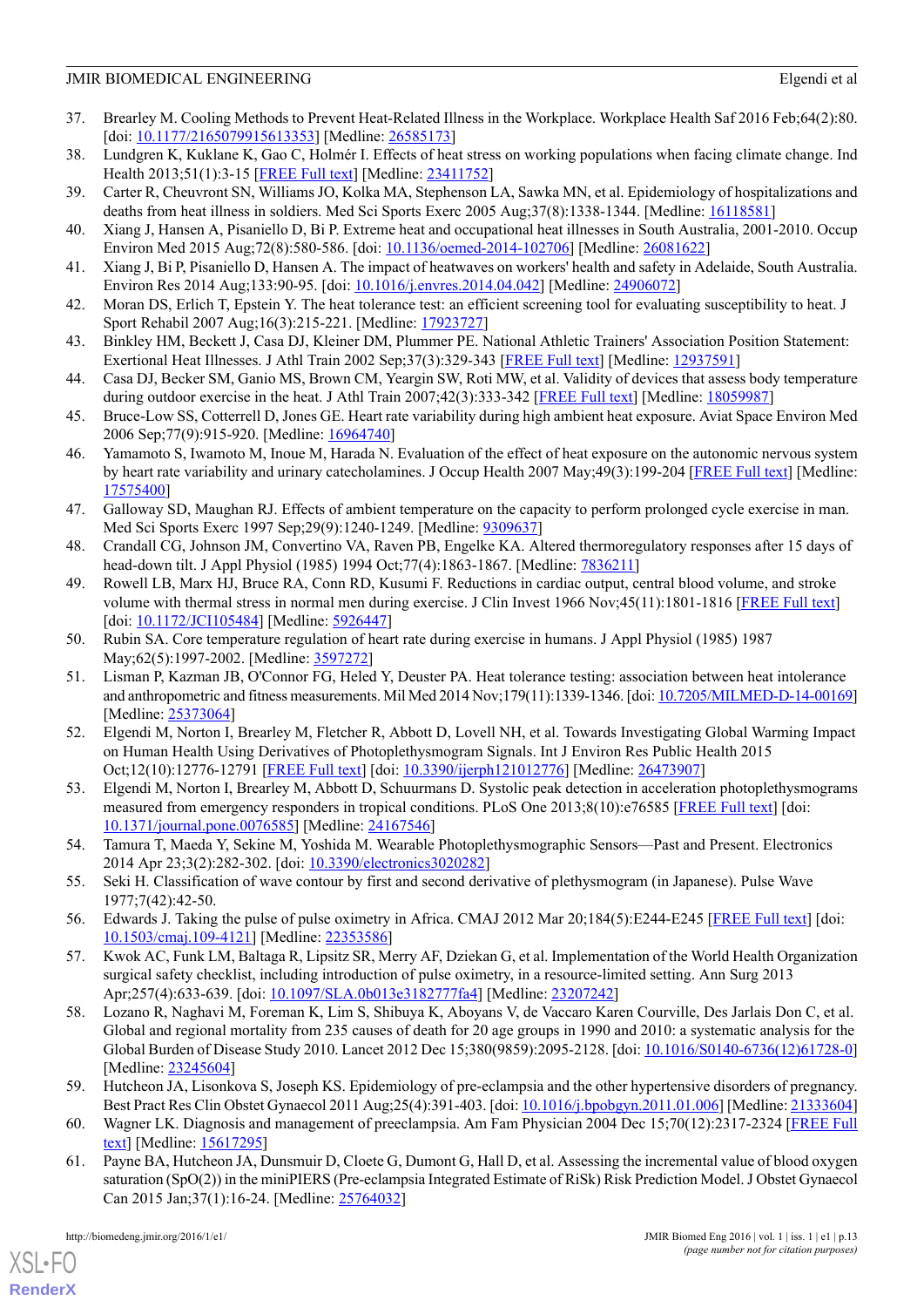- <span id="page-12-0"></span>37. Brearley M. Cooling Methods to Prevent Heat-Related Illness in the Workplace. Workplace Health Saf 2016 Feb;64(2):80. [doi: [10.1177/2165079915613353\]](http://dx.doi.org/10.1177/2165079915613353) [Medline: [26585173](http://www.ncbi.nlm.nih.gov/entrez/query.fcgi?cmd=Retrieve&db=PubMed&list_uids=26585173&dopt=Abstract)]
- <span id="page-12-2"></span><span id="page-12-1"></span>38. Lundgren K, Kuklane K, Gao C, Holmér I. Effects of heat stress on working populations when facing climate change. Ind Health 2013;51(1):3-15 [\[FREE Full text\]](http://joi.jlc.jst.go.jp/DN/JST.JSTAGE/indhealth/2012-0089?from=PubMed) [Medline: [23411752\]](http://www.ncbi.nlm.nih.gov/entrez/query.fcgi?cmd=Retrieve&db=PubMed&list_uids=23411752&dopt=Abstract)
- <span id="page-12-3"></span>39. Carter R, Cheuvront SN, Williams JO, Kolka MA, Stephenson LA, Sawka MN, et al. Epidemiology of hospitalizations and deaths from heat illness in soldiers. Med Sci Sports Exerc 2005 Aug;37(8):1338-1344. [Medline: [16118581\]](http://www.ncbi.nlm.nih.gov/entrez/query.fcgi?cmd=Retrieve&db=PubMed&list_uids=16118581&dopt=Abstract)
- <span id="page-12-4"></span>40. Xiang J, Hansen A, Pisaniello D, Bi P. Extreme heat and occupational heat illnesses in South Australia, 2001-2010. Occup Environ Med 2015 Aug;72(8):580-586. [doi: [10.1136/oemed-2014-102706\]](http://dx.doi.org/10.1136/oemed-2014-102706) [Medline: [26081622\]](http://www.ncbi.nlm.nih.gov/entrez/query.fcgi?cmd=Retrieve&db=PubMed&list_uids=26081622&dopt=Abstract)
- <span id="page-12-5"></span>41. Xiang J, Bi P, Pisaniello D, Hansen A. The impact of heatwaves on workers' health and safety in Adelaide, South Australia. Environ Res 2014 Aug;133:90-95. [doi: [10.1016/j.envres.2014.04.042\]](http://dx.doi.org/10.1016/j.envres.2014.04.042) [Medline: [24906072\]](http://www.ncbi.nlm.nih.gov/entrez/query.fcgi?cmd=Retrieve&db=PubMed&list_uids=24906072&dopt=Abstract)
- <span id="page-12-6"></span>42. Moran DS, Erlich T, Epstein Y. The heat tolerance test: an efficient screening tool for evaluating susceptibility to heat. J Sport Rehabil 2007 Aug;16(3):215-221. [Medline: [17923727](http://www.ncbi.nlm.nih.gov/entrez/query.fcgi?cmd=Retrieve&db=PubMed&list_uids=17923727&dopt=Abstract)]
- <span id="page-12-7"></span>43. Binkley HM, Beckett J, Casa DJ, Kleiner DM, Plummer PE. National Athletic Trainers' Association Position Statement: Exertional Heat Illnesses. J Athl Train 2002 Sep;37(3):329-343 [[FREE Full text](http://europepmc.org/abstract/MED/12937591)] [Medline: [12937591\]](http://www.ncbi.nlm.nih.gov/entrez/query.fcgi?cmd=Retrieve&db=PubMed&list_uids=12937591&dopt=Abstract)
- <span id="page-12-8"></span>44. Casa DJ, Becker SM, Ganio MS, Brown CM, Yeargin SW, Roti MW, et al. Validity of devices that assess body temperature during outdoor exercise in the heat. J Athl Train 2007;42(3):333-342 [\[FREE Full text\]](http://europepmc.org/abstract/MED/18059987) [Medline: [18059987\]](http://www.ncbi.nlm.nih.gov/entrez/query.fcgi?cmd=Retrieve&db=PubMed&list_uids=18059987&dopt=Abstract)
- <span id="page-12-9"></span>45. Bruce-Low SS, Cotterrell D, Jones GE. Heart rate variability during high ambient heat exposure. Aviat Space Environ Med 2006 Sep;77(9):915-920. [Medline: [16964740](http://www.ncbi.nlm.nih.gov/entrez/query.fcgi?cmd=Retrieve&db=PubMed&list_uids=16964740&dopt=Abstract)]
- <span id="page-12-10"></span>46. Yamamoto S, Iwamoto M, Inoue M, Harada N. Evaluation of the effect of heat exposure on the autonomic nervous system by heart rate variability and urinary catecholamines. J Occup Health 2007 May;49(3):199-204 [\[FREE Full text\]](http://joi.jlc.jst.go.jp/JST.JSTAGE/joh/49.199?from=PubMed) [Medline: [17575400](http://www.ncbi.nlm.nih.gov/entrez/query.fcgi?cmd=Retrieve&db=PubMed&list_uids=17575400&dopt=Abstract)]
- <span id="page-12-12"></span><span id="page-12-11"></span>47. Galloway SD, Maughan RJ. Effects of ambient temperature on the capacity to perform prolonged cycle exercise in man. Med Sci Sports Exerc 1997 Sep;29(9):1240-1249. [Medline: [9309637](http://www.ncbi.nlm.nih.gov/entrez/query.fcgi?cmd=Retrieve&db=PubMed&list_uids=9309637&dopt=Abstract)]
- 48. Crandall CG, Johnson JM, Convertino VA, Raven PB, Engelke KA. Altered thermoregulatory responses after 15 days of head-down tilt. J Appl Physiol (1985) 1994 Oct;77(4):1863-1867. [Medline: [7836211](http://www.ncbi.nlm.nih.gov/entrez/query.fcgi?cmd=Retrieve&db=PubMed&list_uids=7836211&dopt=Abstract)]
- <span id="page-12-14"></span><span id="page-12-13"></span>49. Rowell LB, Marx HJ, Bruce RA, Conn RD, Kusumi F. Reductions in cardiac output, central blood volume, and stroke volume with thermal stress in normal men during exercise. J Clin Invest 1966 Nov;45(11):1801-1816 [[FREE Full text](http://europepmc.org/abstract/MED/5926447)] [doi: [10.1172/JCI105484\]](http://dx.doi.org/10.1172/JCI105484) [Medline: [5926447](http://www.ncbi.nlm.nih.gov/entrez/query.fcgi?cmd=Retrieve&db=PubMed&list_uids=5926447&dopt=Abstract)]
- 50. Rubin SA. Core temperature regulation of heart rate during exercise in humans. J Appl Physiol (1985) 1987 May;62(5):1997-2002. [Medline: [3597272](http://www.ncbi.nlm.nih.gov/entrez/query.fcgi?cmd=Retrieve&db=PubMed&list_uids=3597272&dopt=Abstract)]
- <span id="page-12-15"></span>51. Lisman P, Kazman JB, O'Connor FG, Heled Y, Deuster PA. Heat tolerance testing: association between heat intolerance and anthropometric and fitness measurements. Mil Med 2014 Nov;179(11):1339-1346. [doi: [10.7205/MILMED-D-14-00169\]](http://dx.doi.org/10.7205/MILMED-D-14-00169) [Medline: [25373064](http://www.ncbi.nlm.nih.gov/entrez/query.fcgi?cmd=Retrieve&db=PubMed&list_uids=25373064&dopt=Abstract)]
- <span id="page-12-16"></span>52. Elgendi M, Norton I, Brearley M, Fletcher R, Abbott D, Lovell NH, et al. Towards Investigating Global Warming Impact on Human Health Using Derivatives of Photoplethysmogram Signals. Int J Environ Res Public Health 2015 Oct;12(10):12776-12791 [\[FREE Full text\]](http://www.mdpi.com/resolver?pii=ijerph121012776) [doi: [10.3390/ijerph121012776\]](http://dx.doi.org/10.3390/ijerph121012776) [Medline: [26473907](http://www.ncbi.nlm.nih.gov/entrez/query.fcgi?cmd=Retrieve&db=PubMed&list_uids=26473907&dopt=Abstract)]
- <span id="page-12-18"></span><span id="page-12-17"></span>53. Elgendi M, Norton I, Brearley M, Abbott D, Schuurmans D. Systolic peak detection in acceleration photoplethysmograms measured from emergency responders in tropical conditions. PLoS One 2013;8(10):e76585 [\[FREE Full text\]](http://dx.plos.org/10.1371/journal.pone.0076585) [doi: [10.1371/journal.pone.0076585\]](http://dx.doi.org/10.1371/journal.pone.0076585) [Medline: [24167546](http://www.ncbi.nlm.nih.gov/entrez/query.fcgi?cmd=Retrieve&db=PubMed&list_uids=24167546&dopt=Abstract)]
- <span id="page-12-20"></span><span id="page-12-19"></span>54. Tamura T, Maeda Y, Sekine M, Yoshida M. Wearable Photoplethysmographic Sensors—Past and Present. Electronics 2014 Apr 23;3(2):282-302. [doi: [10.3390/electronics3020282](http://dx.doi.org/10.3390/electronics3020282)]
- 55. Seki H. Classification of wave contour by first and second derivative of plethysmogram (in Japanese). Pulse Wave 1977;7(42):42-50.
- <span id="page-12-21"></span>56. Edwards J. Taking the pulse of pulse oximetry in Africa. CMAJ 2012 Mar 20;184(5):E244-E245 [\[FREE Full text\]](http://www.cmaj.ca/cgi/pmidlookup?view=long&pmid=22353586) [doi: [10.1503/cmaj.109-4121](http://dx.doi.org/10.1503/cmaj.109-4121)] [Medline: [22353586\]](http://www.ncbi.nlm.nih.gov/entrez/query.fcgi?cmd=Retrieve&db=PubMed&list_uids=22353586&dopt=Abstract)
- <span id="page-12-22"></span>57. Kwok AC, Funk LM, Baltaga R, Lipsitz SR, Merry AF, Dziekan G, et al. Implementation of the World Health Organization surgical safety checklist, including introduction of pulse oximetry, in a resource-limited setting. Ann Surg 2013 Apr;257(4):633-639. [doi: [10.1097/SLA.0b013e3182777fa4\]](http://dx.doi.org/10.1097/SLA.0b013e3182777fa4) [Medline: [23207242\]](http://www.ncbi.nlm.nih.gov/entrez/query.fcgi?cmd=Retrieve&db=PubMed&list_uids=23207242&dopt=Abstract)
- <span id="page-12-24"></span><span id="page-12-23"></span>58. Lozano R, Naghavi M, Foreman K, Lim S, Shibuya K, Aboyans V, de Vaccaro Karen Courville, Des Jarlais Don C, et al. Global and regional mortality from 235 causes of death for 20 age groups in 1990 and 2010: a systematic analysis for the Global Burden of Disease Study 2010. Lancet 2012 Dec 15;380(9859):2095-2128. [doi: [10.1016/S0140-6736\(12\)61728-0](http://dx.doi.org/10.1016/S0140-6736(12)61728-0)] [Medline: [23245604](http://www.ncbi.nlm.nih.gov/entrez/query.fcgi?cmd=Retrieve&db=PubMed&list_uids=23245604&dopt=Abstract)]
- 59. Hutcheon JA, Lisonkova S, Joseph KS. Epidemiology of pre-eclampsia and the other hypertensive disorders of pregnancy. Best Pract Res Clin Obstet Gynaecol 2011 Aug;25(4):391-403. [doi: [10.1016/j.bpobgyn.2011.01.006](http://dx.doi.org/10.1016/j.bpobgyn.2011.01.006)] [Medline: [21333604\]](http://www.ncbi.nlm.nih.gov/entrez/query.fcgi?cmd=Retrieve&db=PubMed&list_uids=21333604&dopt=Abstract)
- 60. Wagner LK. Diagnosis and management of preeclampsia. Am Fam Physician 2004 Dec 15;70(12):2317-2324 [[FREE Full](http://www.aafp.org/link_out?pmid=15617295) [text\]](http://www.aafp.org/link_out?pmid=15617295) [Medline: [15617295](http://www.ncbi.nlm.nih.gov/entrez/query.fcgi?cmd=Retrieve&db=PubMed&list_uids=15617295&dopt=Abstract)]
- 61. Payne BA, Hutcheon JA, Dunsmuir D, Cloete G, Dumont G, Hall D, et al. Assessing the incremental value of blood oxygen saturation (SpO(2)) in the miniPIERS (Pre-eclampsia Integrated Estimate of RiSk) Risk Prediction Model. J Obstet Gynaecol Can 2015 Jan;37(1):16-24. [Medline: [25764032](http://www.ncbi.nlm.nih.gov/entrez/query.fcgi?cmd=Retrieve&db=PubMed&list_uids=25764032&dopt=Abstract)]

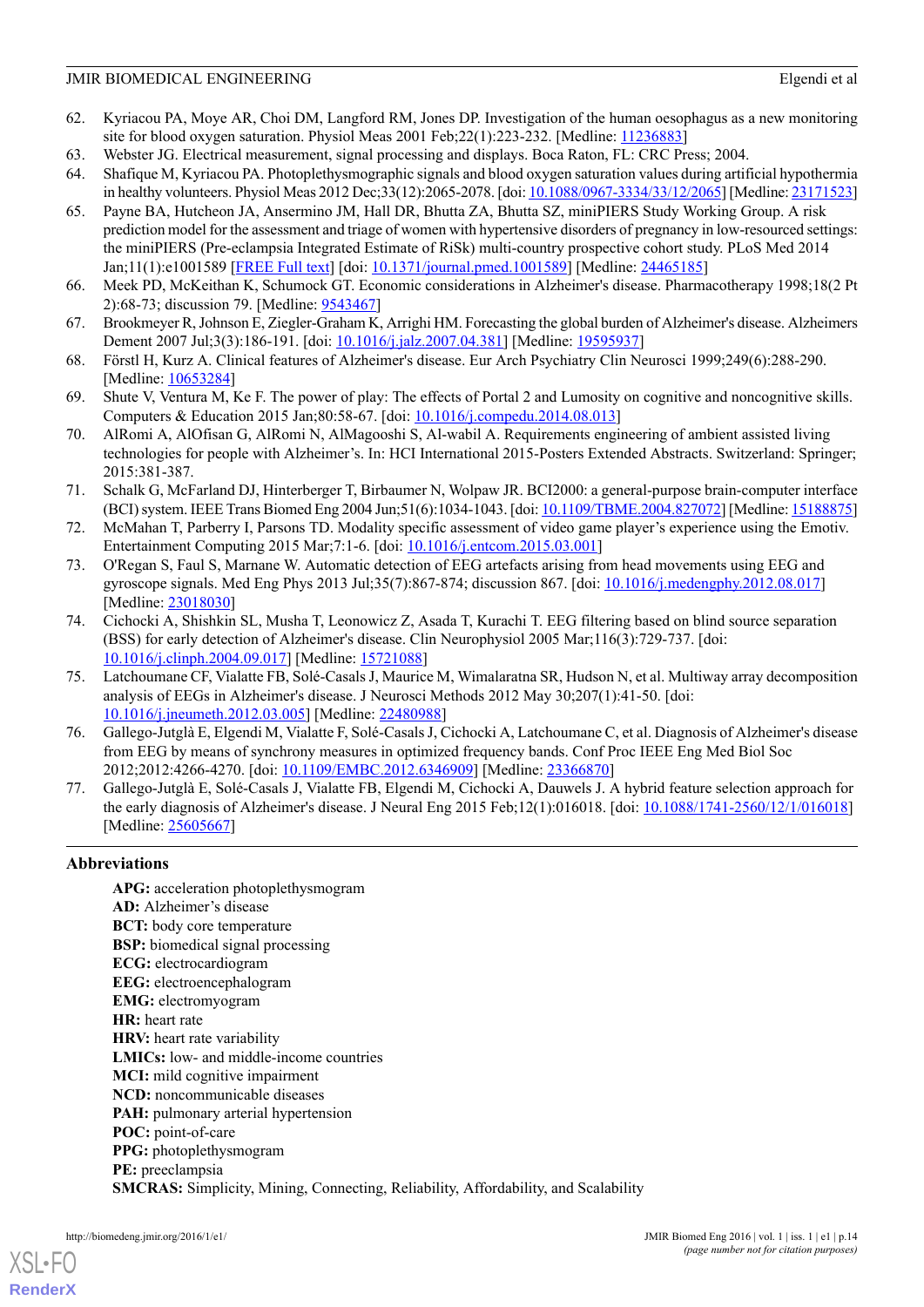- <span id="page-13-0"></span>62. Kyriacou PA, Moye AR, Choi DM, Langford RM, Jones DP. Investigation of the human oesophagus as a new monitoring site for blood oxygen saturation. Physiol Meas 2001 Feb;22(1):223-232. [Medline: [11236883\]](http://www.ncbi.nlm.nih.gov/entrez/query.fcgi?cmd=Retrieve&db=PubMed&list_uids=11236883&dopt=Abstract)
- <span id="page-13-2"></span><span id="page-13-1"></span>63. Webster JG. Electrical measurement, signal processing and displays. Boca Raton, FL: CRC Press; 2004.
- <span id="page-13-3"></span>64. Shafique M, Kyriacou PA. Photoplethysmographic signals and blood oxygen saturation values during artificial hypothermia in healthy volunteers. Physiol Meas 2012 Dec;33(12):2065-2078. [doi: [10.1088/0967-3334/33/12/2065\]](http://dx.doi.org/10.1088/0967-3334/33/12/2065) [Medline: [23171523\]](http://www.ncbi.nlm.nih.gov/entrez/query.fcgi?cmd=Retrieve&db=PubMed&list_uids=23171523&dopt=Abstract)
- 65. Payne BA, Hutcheon JA, Ansermino JM, Hall DR, Bhutta ZA, Bhutta SZ, miniPIERS Study Working Group. A risk prediction model for the assessment and triage of women with hypertensive disorders of pregnancy in low-resourced settings: the miniPIERS (Pre-eclampsia Integrated Estimate of RiSk) multi-country prospective cohort study. PLoS Med 2014 Jan;11(1):e1001589 [[FREE Full text](http://dx.plos.org/10.1371/journal.pmed.1001589)] [doi: [10.1371/journal.pmed.1001589](http://dx.doi.org/10.1371/journal.pmed.1001589)] [Medline: [24465185](http://www.ncbi.nlm.nih.gov/entrez/query.fcgi?cmd=Retrieve&db=PubMed&list_uids=24465185&dopt=Abstract)]
- <span id="page-13-5"></span><span id="page-13-4"></span>66. Meek PD, McKeithan K, Schumock GT. Economic considerations in Alzheimer's disease. Pharmacotherapy 1998;18(2 Pt 2):68-73; discussion 79. [Medline: [9543467](http://www.ncbi.nlm.nih.gov/entrez/query.fcgi?cmd=Retrieve&db=PubMed&list_uids=9543467&dopt=Abstract)]
- <span id="page-13-6"></span>67. Brookmeyer R, Johnson E, Ziegler-Graham K, Arrighi HM. Forecasting the global burden of Alzheimer's disease. Alzheimers Dement 2007 Jul;3(3):186-191. [doi: [10.1016/j.jalz.2007.04.381](http://dx.doi.org/10.1016/j.jalz.2007.04.381)] [Medline: [19595937\]](http://www.ncbi.nlm.nih.gov/entrez/query.fcgi?cmd=Retrieve&db=PubMed&list_uids=19595937&dopt=Abstract)
- <span id="page-13-7"></span>68. Förstl H, Kurz A. Clinical features of Alzheimer's disease. Eur Arch Psychiatry Clin Neurosci 1999;249(6):288-290. [Medline: [10653284](http://www.ncbi.nlm.nih.gov/entrez/query.fcgi?cmd=Retrieve&db=PubMed&list_uids=10653284&dopt=Abstract)]
- <span id="page-13-8"></span>69. Shute V, Ventura M, Ke F. The power of play: The effects of Portal 2 and Lumosity on cognitive and noncognitive skills. Computers & Education 2015 Jan;80:58-67. [doi: [10.1016/j.compedu.2014.08.013\]](http://dx.doi.org/10.1016/j.compedu.2014.08.013)
- <span id="page-13-9"></span>70. AlRomi A, AlOfisan G, AlRomi N, AlMagooshi S, Al-wabil A. Requirements engineering of ambient assisted living technologies for people with Alzheimer's. In: HCI International 2015-Posters Extended Abstracts. Switzerland: Springer; 2015:381-387.
- <span id="page-13-10"></span>71. Schalk G, McFarland DJ, Hinterberger T, Birbaumer N, Wolpaw JR. BCI2000: a general-purpose brain-computer interface (BCI) system. IEEE Trans Biomed Eng 2004 Jun;51(6):1034-1043. [doi: [10.1109/TBME.2004.827072\]](http://dx.doi.org/10.1109/TBME.2004.827072) [Medline: [15188875\]](http://www.ncbi.nlm.nih.gov/entrez/query.fcgi?cmd=Retrieve&db=PubMed&list_uids=15188875&dopt=Abstract)
- <span id="page-13-11"></span>72. McMahan T, Parberry I, Parsons TD. Modality specific assessment of video game player's experience using the Emotiv. Entertainment Computing 2015 Mar;7:1-6. [doi: [10.1016/j.entcom.2015.03.001\]](http://dx.doi.org/10.1016/j.entcom.2015.03.001)
- <span id="page-13-12"></span>73. O'Regan S, Faul S, Marnane W. Automatic detection of EEG artefacts arising from head movements using EEG and gyroscope signals. Med Eng Phys 2013 Jul;35(7):867-874; discussion 867. [doi: [10.1016/j.medengphy.2012.08.017\]](http://dx.doi.org/10.1016/j.medengphy.2012.08.017) [Medline: [23018030](http://www.ncbi.nlm.nih.gov/entrez/query.fcgi?cmd=Retrieve&db=PubMed&list_uids=23018030&dopt=Abstract)]
- <span id="page-13-13"></span>74. Cichocki A, Shishkin SL, Musha T, Leonowicz Z, Asada T, Kurachi T. EEG filtering based on blind source separation (BSS) for early detection of Alzheimer's disease. Clin Neurophysiol 2005 Mar;116(3):729-737. [doi: [10.1016/j.clinph.2004.09.017](http://dx.doi.org/10.1016/j.clinph.2004.09.017)] [Medline: [15721088](http://www.ncbi.nlm.nih.gov/entrez/query.fcgi?cmd=Retrieve&db=PubMed&list_uids=15721088&dopt=Abstract)]
- <span id="page-13-14"></span>75. Latchoumane CF, Vialatte FB, Solé-Casals J, Maurice M, Wimalaratna SR, Hudson N, et al. Multiway array decomposition analysis of EEGs in Alzheimer's disease. J Neurosci Methods 2012 May 30;207(1):41-50. [doi: [10.1016/j.jneumeth.2012.03.005\]](http://dx.doi.org/10.1016/j.jneumeth.2012.03.005) [Medline: [22480988](http://www.ncbi.nlm.nih.gov/entrez/query.fcgi?cmd=Retrieve&db=PubMed&list_uids=22480988&dopt=Abstract)]
- <span id="page-13-15"></span>76. Gallego-Jutglà E, Elgendi M, Vialatte F, Solé-Casals J, Cichocki A, Latchoumane C, et al. Diagnosis of Alzheimer's disease from EEG by means of synchrony measures in optimized frequency bands. Conf Proc IEEE Eng Med Biol Soc 2012;2012:4266-4270. [doi: [10.1109/EMBC.2012.6346909\]](http://dx.doi.org/10.1109/EMBC.2012.6346909) [Medline: [23366870\]](http://www.ncbi.nlm.nih.gov/entrez/query.fcgi?cmd=Retrieve&db=PubMed&list_uids=23366870&dopt=Abstract)
- 77. Gallego-Jutglà E, Solé-Casals J, Vialatte FB, Elgendi M, Cichocki A, Dauwels J. A hybrid feature selection approach for the early diagnosis of Alzheimer's disease. J Neural Eng 2015 Feb;12(1):016018. [doi: [10.1088/1741-2560/12/1/016018\]](http://dx.doi.org/10.1088/1741-2560/12/1/016018) [Medline: [25605667](http://www.ncbi.nlm.nih.gov/entrez/query.fcgi?cmd=Retrieve&db=PubMed&list_uids=25605667&dopt=Abstract)]

# **Abbreviations**

**APG:** acceleration photoplethysmogram **AD:** Alzheimer's disease **BCT:** body core temperature **BSP:** biomedical signal processing **ECG:** electrocardiogram **EEG:** electroencephalogram **EMG:** electromyogram **HR:** heart rate **HRV:** heart rate variability **LMICs:** low- and middle-income countries **MCI:** mild cognitive impairment **NCD:** noncommunicable diseases **PAH:** pulmonary arterial hypertension **POC:** point-of-care **PPG:** photoplethysmogram **PE:** preeclampsia **SMCRAS:** Simplicity, Mining, Connecting, Reliability, Affordability, and Scalability